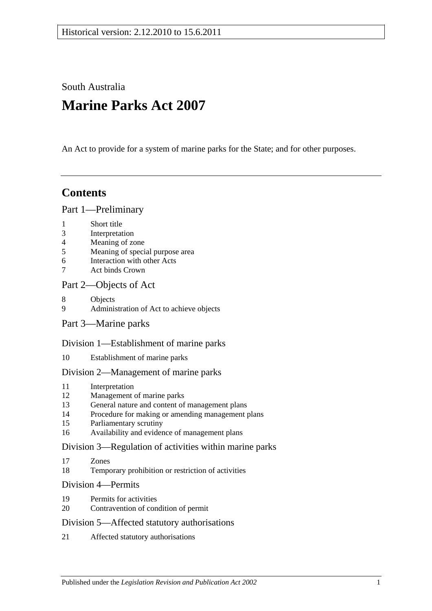South Australia

# **Marine Parks Act 2007**

An Act to provide for a system of marine parks for the State; and for other purposes.

## **Contents**

#### [Part 1—Preliminary](#page-2-0)

- 1 [Short title](#page-2-1)
- 3 [Interpretation](#page-2-2)
- 4 [Meaning of zone](#page-5-0)
- 5 [Meaning of special purpose area](#page-5-1)
- 6 [Interaction with other Acts](#page-5-2)
- 7 [Act binds Crown](#page-5-3)

## [Part 2—Objects of Act](#page-6-0)

- 8 [Objects](#page-6-1)
- 9 [Administration of Act to achieve objects](#page-7-0)
- [Part 3—Marine parks](#page-7-1)

## [Division 1—Establishment of marine parks](#page-7-2)

10 [Establishment of marine parks](#page-7-3)

#### [Division 2—Management of marine parks](#page-9-0)

- 11 [Interpretation](#page-9-1)
- 12 [Management of marine parks](#page-9-2)
- 13 [General nature and content of management plans](#page-9-3)
- 14 [Procedure for making or amending management plans](#page-10-0)
- 15 [Parliamentary scrutiny](#page-12-0)
- 16 [Availability and evidence of management plans](#page-12-1)

#### [Division 3—Regulation of activities within marine parks](#page-12-2)

- 17 [Zones](#page-12-3)
- 18 [Temporary prohibition or restriction of activities](#page-13-0)

#### [Division 4—Permits](#page-13-1)

- 19 [Permits for activities](#page-13-2)
- 20 [Contravention of condition of permit](#page-14-0)

#### [Division 5—Affected statutory authorisations](#page-15-0)

21 [Affected statutory authorisations](#page-15-1)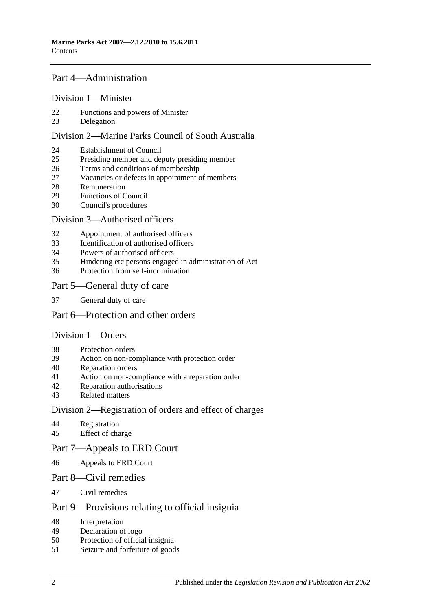## [Part 4—Administration](#page-15-2)

#### [Division 1—Minister](#page-15-3)

- [Functions and powers of Minister](#page-15-4)
- [Delegation](#page-16-0)

## [Division 2—Marine Parks Council of South Australia](#page-16-1)

- [Establishment of Council](#page-16-2)
- [Presiding member and deputy presiding member](#page-17-0)
- [Terms and conditions of membership](#page-17-1)
- [Vacancies or defects in appointment of members](#page-18-0)
- [Remuneration](#page-18-1)
- [Functions of Council](#page-18-2)
- [Council's procedures](#page-19-0)

## [Division 3—Authorised officers](#page-19-1)

- [Appointment of authorised officers](#page-19-2)
- [Identification of authorised officers](#page-20-0)
- [Powers of authorised officers](#page-20-1)
- [Hindering etc persons engaged in administration of Act](#page-22-0)
- [Protection from self-incrimination](#page-22-1)

## [Part 5—General duty of care](#page-23-0)

[General duty of care](#page-23-1)

## [Part 6—Protection and other orders](#page-23-2)

## [Division 1—Orders](#page-23-3)

- [Protection orders](#page-23-4)
- [Action on non-compliance with protection order](#page-24-0)
- [Reparation orders](#page-25-0)
- [Action on non-compliance with a reparation order](#page-26-0)<br>42 Reparation authorisations
- [Reparation authorisations](#page-27-0)
- [Related matters](#page-28-0)

## [Division 2—Registration of orders and effect of charges](#page-28-1)

- [Registration](#page-28-2)<br>45 Effect of cha
- [Effect of charge](#page-29-0)
- [Part 7—Appeals to ERD Court](#page-29-1)
- [Appeals to ERD Court](#page-29-2)
- [Part 8—Civil remedies](#page-31-0)
- [Civil remedies](#page-31-1)

## [Part 9—Provisions relating to official insignia](#page-34-0)

- [Interpretation](#page-34-1)
- [Declaration of logo](#page-34-2)
- [Protection of official insignia](#page-34-3)
- [Seizure and forfeiture of goods](#page-35-0)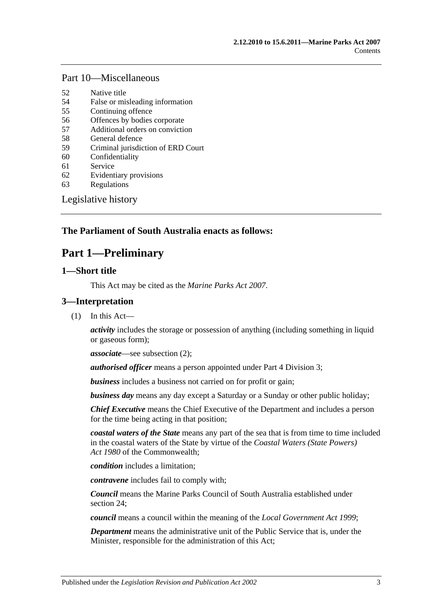### [Part 10—Miscellaneous](#page-36-0)

- 52 [Native title](#page-36-1)
- 54 [False or misleading information](#page-36-2)
- 55 [Continuing offence](#page-36-3)
- 56 [Offences by bodies corporate](#page-36-4)
- 57 [Additional orders on conviction](#page-37-0)
- 58 [General defence](#page-37-1)
- 59 [Criminal jurisdiction of ERD Court](#page-37-2)
- 60 [Confidentiality](#page-37-3)
- 61 [Service](#page-38-0)
- 62 [Evidentiary provisions](#page-38-1)
- 63 [Regulations](#page-39-0)

[Legislative history](#page-40-0)

#### <span id="page-2-0"></span>**The Parliament of South Australia enacts as follows:**

## **Part 1—Preliminary**

#### <span id="page-2-1"></span>**1—Short title**

This Act may be cited as the *Marine Parks Act 2007*.

### <span id="page-2-2"></span>**3—Interpretation**

(1) In this Act—

*activity* includes the storage or possession of anything (including something in liquid or gaseous form);

*associate*—see [subsection](#page-4-0) (2);

*authorised officer* means a person appointed under [Part 4 Division 3;](#page-19-1)

*business* includes a business not carried on for profit or gain;

*business day* means any day except a Saturday or a Sunday or other public holiday;

*Chief Executive* means the Chief Executive of the Department and includes a person for the time being acting in that position;

*coastal waters of the State* means any part of the sea that is from time to time included in the coastal waters of the State by virtue of the *Coastal Waters (State Powers) Act 1980* of the Commonwealth;

*condition* includes a limitation;

*contravene* includes fail to comply with;

*Council* means the Marine Parks Council of South Australia established under [section](#page-16-2) 24;

*council* means a council within the meaning of the *[Local Government Act](http://www.legislation.sa.gov.au/index.aspx?action=legref&type=act&legtitle=Local%20Government%20Act%201999) 1999*;

*Department* means the administrative unit of the Public Service that is, under the Minister, responsible for the administration of this Act;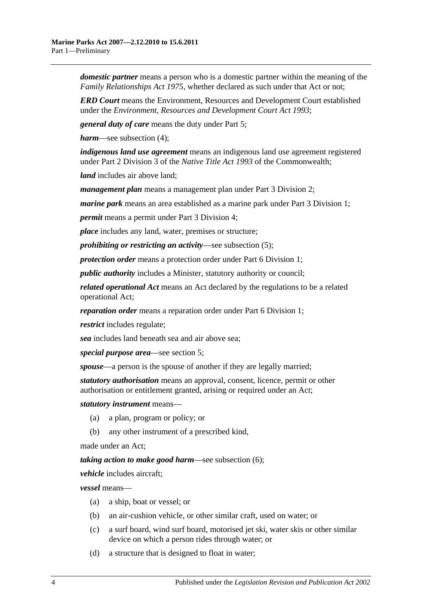*domestic partner* means a person who is a domestic partner within the meaning of the *[Family Relationships Act](http://www.legislation.sa.gov.au/index.aspx?action=legref&type=act&legtitle=Family%20Relationships%20Act%201975) 1975*, whether declared as such under that Act or not;

*ERD Court* means the Environment, Resources and Development Court established under the *[Environment, Resources and Development Court Act](http://www.legislation.sa.gov.au/index.aspx?action=legref&type=act&legtitle=Environment%20Resources%20and%20Development%20Court%20Act%201993) 1993*;

*general duty of care* means the duty under [Part 5;](#page-23-0)

*harm*—see [subsection](#page-4-1) (4);

*indigenous land use agreement* means an indigenous land use agreement registered under Part 2 Division 3 of the *Native Title Act 1993* of the Commonwealth;

*land* includes air above land;

*management plan* means a management plan under [Part 3 Division 2;](#page-9-0)

*marine park* means an area established as a marine park under [Part 3 Division 1;](#page-7-2)

*permit* means a permit under [Part 3 Division 4;](#page-13-1)

*place* includes any land, water, premises or structure;

*prohibiting or restricting an activity*—see [subsection](#page-4-2) (5);

*protection order* means a protection order unde[r Part 6 Division 1;](#page-23-3)

*public authority* includes a Minister, statutory authority or council;

*related operational Act* means an Act declared by the regulations to be a related operational Act;

*reparation order* means a reparation order under [Part 6 Division 1;](#page-23-3)

*restrict* includes regulate;

*sea* includes land beneath sea and air above sea;

*special purpose area*—see [section](#page-5-1) 5;

*spouse*—a person is the spouse of another if they are legally married;

*statutory authorisation* means an approval, consent, licence, permit or other authorisation or entitlement granted, arising or required under an Act;

*statutory instrument* means—

- (a) a plan, program or policy; or
- (b) any other instrument of a prescribed kind,

made under an Act;

*taking action to make good harm*—see [subsection](#page-4-3) (6);

*vehicle* includes aircraft;

*vessel* means—

- (a) a ship, boat or vessel; or
- (b) an air-cushion vehicle, or other similar craft, used on water; or
- (c) a surf board, wind surf board, motorised jet ski, water skis or other similar device on which a person rides through water; or
- (d) a structure that is designed to float in water;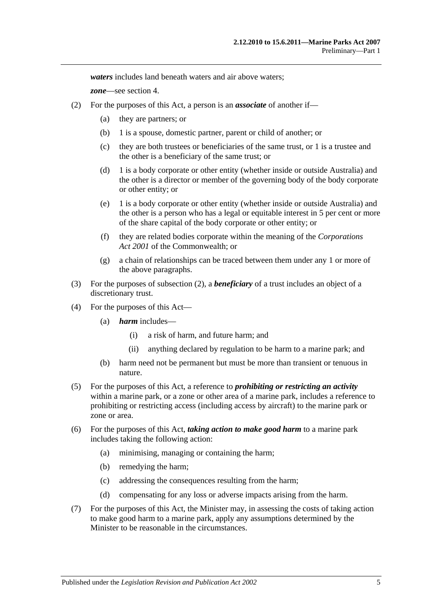*waters* includes land beneath waters and air above waters;

*zone*—see [section](#page-5-0) 4.

- <span id="page-4-0"></span>(2) For the purposes of this Act, a person is an *associate* of another if—
	- (a) they are partners; or
	- (b) 1 is a spouse, domestic partner, parent or child of another; or
	- (c) they are both trustees or beneficiaries of the same trust, or 1 is a trustee and the other is a beneficiary of the same trust; or
	- (d) 1 is a body corporate or other entity (whether inside or outside Australia) and the other is a director or member of the governing body of the body corporate or other entity; or
	- (e) 1 is a body corporate or other entity (whether inside or outside Australia) and the other is a person who has a legal or equitable interest in 5 per cent or more of the share capital of the body corporate or other entity; or
	- (f) they are related bodies corporate within the meaning of the *Corporations Act 2001* of the Commonwealth; or
	- (g) a chain of relationships can be traced between them under any 1 or more of the above paragraphs.
- (3) For the purposes of [subsection](#page-4-0) (2), a *beneficiary* of a trust includes an object of a discretionary trust.
- <span id="page-4-1"></span>(4) For the purposes of this Act—
	- (a) *harm* includes—
		- (i) a risk of harm, and future harm; and
		- (ii) anything declared by regulation to be harm to a marine park; and
	- (b) harm need not be permanent but must be more than transient or tenuous in nature.
- <span id="page-4-2"></span>(5) For the purposes of this Act, a reference to *prohibiting or restricting an activity* within a marine park, or a zone or other area of a marine park, includes a reference to prohibiting or restricting access (including access by aircraft) to the marine park or zone or area.
- <span id="page-4-3"></span>(6) For the purposes of this Act, *taking action to make good harm* to a marine park includes taking the following action:
	- (a) minimising, managing or containing the harm;
	- (b) remedying the harm;
	- (c) addressing the consequences resulting from the harm;
	- (d) compensating for any loss or adverse impacts arising from the harm.
- (7) For the purposes of this Act, the Minister may, in assessing the costs of taking action to make good harm to a marine park, apply any assumptions determined by the Minister to be reasonable in the circumstances.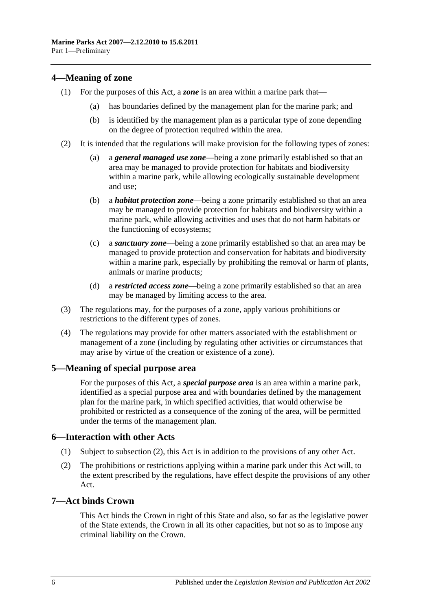### <span id="page-5-0"></span>**4—Meaning of zone**

- (1) For the purposes of this Act, a *zone* is an area within a marine park that
	- has boundaries defined by the management plan for the marine park; and
	- (b) is identified by the management plan as a particular type of zone depending on the degree of protection required within the area.
- (2) It is intended that the regulations will make provision for the following types of zones:
	- (a) a *general managed use zone*—being a zone primarily established so that an area may be managed to provide protection for habitats and biodiversity within a marine park, while allowing ecologically sustainable development and use;
	- (b) a *habitat protection zone*—being a zone primarily established so that an area may be managed to provide protection for habitats and biodiversity within a marine park, while allowing activities and uses that do not harm habitats or the functioning of ecosystems;
	- (c) a *sanctuary zone*—being a zone primarily established so that an area may be managed to provide protection and conservation for habitats and biodiversity within a marine park, especially by prohibiting the removal or harm of plants, animals or marine products;
	- (d) a *restricted access zone*—being a zone primarily established so that an area may be managed by limiting access to the area.
- (3) The regulations may, for the purposes of a zone, apply various prohibitions or restrictions to the different types of zones.
- (4) The regulations may provide for other matters associated with the establishment or management of a zone (including by regulating other activities or circumstances that may arise by virtue of the creation or existence of a zone).

#### <span id="page-5-1"></span>**5—Meaning of special purpose area**

For the purposes of this Act, a *special purpose area* is an area within a marine park, identified as a special purpose area and with boundaries defined by the management plan for the marine park, in which specified activities, that would otherwise be prohibited or restricted as a consequence of the zoning of the area, will be permitted under the terms of the management plan.

#### <span id="page-5-2"></span>**6—Interaction with other Acts**

- (1) Subject to [subsection](#page-5-4) (2), this Act is in addition to the provisions of any other Act.
- <span id="page-5-4"></span>(2) The prohibitions or restrictions applying within a marine park under this Act will, to the extent prescribed by the regulations, have effect despite the provisions of any other Act.

#### <span id="page-5-3"></span>**7—Act binds Crown**

This Act binds the Crown in right of this State and also, so far as the legislative power of the State extends, the Crown in all its other capacities, but not so as to impose any criminal liability on the Crown.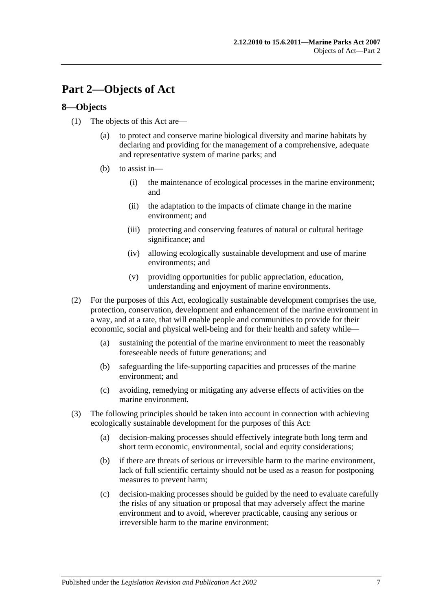## <span id="page-6-0"></span>**Part 2—Objects of Act**

## <span id="page-6-1"></span>**8—Objects**

- (1) The objects of this Act are—
	- (a) to protect and conserve marine biological diversity and marine habitats by declaring and providing for the management of a comprehensive, adequate and representative system of marine parks; and
	- (b) to assist in—
		- (i) the maintenance of ecological processes in the marine environment; and
		- (ii) the adaptation to the impacts of climate change in the marine environment; and
		- (iii) protecting and conserving features of natural or cultural heritage significance; and
		- (iv) allowing ecologically sustainable development and use of marine environments; and
		- (v) providing opportunities for public appreciation, education, understanding and enjoyment of marine environments.
- (2) For the purposes of this Act, ecologically sustainable development comprises the use, protection, conservation, development and enhancement of the marine environment in a way, and at a rate, that will enable people and communities to provide for their economic, social and physical well-being and for their health and safety while—
	- (a) sustaining the potential of the marine environment to meet the reasonably foreseeable needs of future generations; and
	- (b) safeguarding the life-supporting capacities and processes of the marine environment; and
	- (c) avoiding, remedying or mitigating any adverse effects of activities on the marine environment.
- (3) The following principles should be taken into account in connection with achieving ecologically sustainable development for the purposes of this Act:
	- (a) decision-making processes should effectively integrate both long term and short term economic, environmental, social and equity considerations;
	- (b) if there are threats of serious or irreversible harm to the marine environment, lack of full scientific certainty should not be used as a reason for postponing measures to prevent harm;
	- (c) decision-making processes should be guided by the need to evaluate carefully the risks of any situation or proposal that may adversely affect the marine environment and to avoid, wherever practicable, causing any serious or irreversible harm to the marine environment;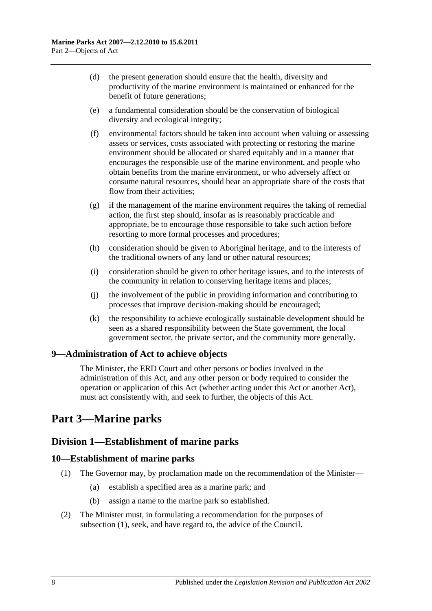- (d) the present generation should ensure that the health, diversity and productivity of the marine environment is maintained or enhanced for the benefit of future generations;
- (e) a fundamental consideration should be the conservation of biological diversity and ecological integrity;
- (f) environmental factors should be taken into account when valuing or assessing assets or services, costs associated with protecting or restoring the marine environment should be allocated or shared equitably and in a manner that encourages the responsible use of the marine environment, and people who obtain benefits from the marine environment, or who adversely affect or consume natural resources, should bear an appropriate share of the costs that flow from their activities;
- $(g)$  if the management of the marine environment requires the taking of remedial action, the first step should, insofar as is reasonably practicable and appropriate, be to encourage those responsible to take such action before resorting to more formal processes and procedures;
- (h) consideration should be given to Aboriginal heritage, and to the interests of the traditional owners of any land or other natural resources;
- (i) consideration should be given to other heritage issues, and to the interests of the community in relation to conserving heritage items and places;
- (j) the involvement of the public in providing information and contributing to processes that improve decision-making should be encouraged;
- (k) the responsibility to achieve ecologically sustainable development should be seen as a shared responsibility between the State government, the local government sector, the private sector, and the community more generally.

## <span id="page-7-0"></span>**9—Administration of Act to achieve objects**

The Minister, the ERD Court and other persons or bodies involved in the administration of this Act, and any other person or body required to consider the operation or application of this Act (whether acting under this Act or another Act), must act consistently with, and seek to further, the objects of this Act.

## <span id="page-7-1"></span>**Part 3—Marine parks**

## <span id="page-7-2"></span>**Division 1—Establishment of marine parks**

## <span id="page-7-4"></span><span id="page-7-3"></span>**10—Establishment of marine parks**

- (1) The Governor may, by proclamation made on the recommendation of the Minister—
	- (a) establish a specified area as a marine park; and
	- (b) assign a name to the marine park so established.
- (2) The Minister must, in formulating a recommendation for the purposes of [subsection](#page-7-4) (1), seek, and have regard to, the advice of the Council.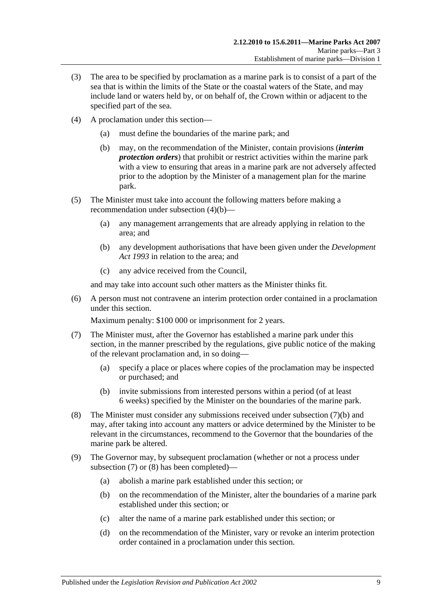- (3) The area to be specified by proclamation as a marine park is to consist of a part of the sea that is within the limits of the State or the coastal waters of the State, and may include land or waters held by, or on behalf of, the Crown within or adjacent to the specified part of the sea.
- <span id="page-8-0"></span>(4) A proclamation under this section—
	- (a) must define the boundaries of the marine park; and
	- (b) may, on the recommendation of the Minister, contain provisions (*interim protection orders*) that prohibit or restrict activities within the marine park with a view to ensuring that areas in a marine park are not adversely affected prior to the adoption by the Minister of a management plan for the marine park.
- (5) The Minister must take into account the following matters before making a recommendation under [subsection](#page-8-0) (4)(b)—
	- (a) any management arrangements that are already applying in relation to the area; and
	- (b) any development authorisations that have been given under the *[Development](http://www.legislation.sa.gov.au/index.aspx?action=legref&type=act&legtitle=Development%20Act%201993)  Act [1993](http://www.legislation.sa.gov.au/index.aspx?action=legref&type=act&legtitle=Development%20Act%201993)* in relation to the area; and
	- (c) any advice received from the Council,

and may take into account such other matters as the Minister thinks fit.

(6) A person must not contravene an interim protection order contained in a proclamation under this section.

Maximum penalty: \$100 000 or imprisonment for 2 years.

- <span id="page-8-2"></span>(7) The Minister must, after the Governor has established a marine park under this section, in the manner prescribed by the regulations, give public notice of the making of the relevant proclamation and, in so doing—
	- (a) specify a place or places where copies of the proclamation may be inspected or purchased; and
	- (b) invite submissions from interested persons within a period (of at least 6 weeks) specified by the Minister on the boundaries of the marine park.
- <span id="page-8-3"></span><span id="page-8-1"></span>(8) The Minister must consider any submissions received under [subsection](#page-8-1) (7)(b) and may, after taking into account any matters or advice determined by the Minister to be relevant in the circumstances, recommend to the Governor that the boundaries of the marine park be altered.
- <span id="page-8-7"></span><span id="page-8-6"></span><span id="page-8-5"></span><span id="page-8-4"></span>(9) The Governor may, by subsequent proclamation (whether or not a process under [subsection](#page-8-2) (7) or [\(8\)](#page-8-3) has been completed)—
	- (a) abolish a marine park established under this section; or
	- (b) on the recommendation of the Minister, alter the boundaries of a marine park established under this section; or
	- (c) alter the name of a marine park established under this section; or
	- (d) on the recommendation of the Minister, vary or revoke an interim protection order contained in a proclamation under this section.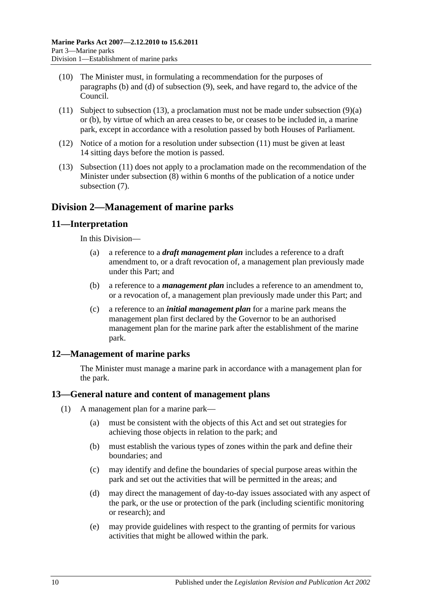- (10) The Minister must, in formulating a recommendation for the purposes of [paragraphs](#page-8-4) (b) and [\(d\)](#page-8-5) of [subsection](#page-8-6) (9), seek, and have regard to, the advice of the Council.
- <span id="page-9-5"></span>(11) Subject to [subsection](#page-9-4) (13), a proclamation must not be made under [subsection](#page-8-7) (9)(a) or [\(b\),](#page-8-4) by virtue of which an area ceases to be, or ceases to be included in, a marine park, except in accordance with a resolution passed by both Houses of Parliament.
- (12) Notice of a motion for a resolution under [subsection](#page-9-5) (11) must be given at least 14 sitting days before the motion is passed.
- <span id="page-9-4"></span>(13) [Subsection](#page-9-5) (11) does not apply to a proclamation made on the recommendation of the Minister under [subsection](#page-8-3) (8) within 6 months of the publication of a notice under [subsection](#page-8-2) (7).

## <span id="page-9-0"></span>**Division 2—Management of marine parks**

## <span id="page-9-1"></span>**11—Interpretation**

In this Division—

- (a) a reference to a *draft management plan* includes a reference to a draft amendment to, or a draft revocation of, a management plan previously made under this Part; and
- (b) a reference to a *management plan* includes a reference to an amendment to, or a revocation of, a management plan previously made under this Part; and
- (c) a reference to an *initial management plan* for a marine park means the management plan first declared by the Governor to be an authorised management plan for the marine park after the establishment of the marine park.

## <span id="page-9-2"></span>**12—Management of marine parks**

The Minister must manage a marine park in accordance with a management plan for the park.

## <span id="page-9-3"></span>**13—General nature and content of management plans**

- (1) A management plan for a marine park—
	- (a) must be consistent with the objects of this Act and set out strategies for achieving those objects in relation to the park; and
	- (b) must establish the various types of zones within the park and define their boundaries; and
	- (c) may identify and define the boundaries of special purpose areas within the park and set out the activities that will be permitted in the areas; and
	- (d) may direct the management of day-to-day issues associated with any aspect of the park, or the use or protection of the park (including scientific monitoring or research); and
	- (e) may provide guidelines with respect to the granting of permits for various activities that might be allowed within the park.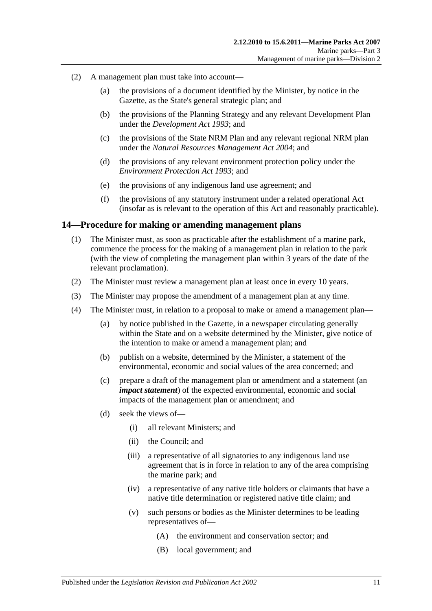- (2) A management plan must take into account—
	- (a) the provisions of a document identified by the Minister, by notice in the Gazette, as the State's general strategic plan; and
	- (b) the provisions of the Planning Strategy and any relevant Development Plan under the *[Development Act](http://www.legislation.sa.gov.au/index.aspx?action=legref&type=act&legtitle=Development%20Act%201993) 1993*; and
	- (c) the provisions of the State NRM Plan and any relevant regional NRM plan under the *[Natural Resources Management Act](http://www.legislation.sa.gov.au/index.aspx?action=legref&type=act&legtitle=Natural%20Resources%20Management%20Act%202004) 2004*; and
	- (d) the provisions of any relevant environment protection policy under the *[Environment Protection Act](http://www.legislation.sa.gov.au/index.aspx?action=legref&type=act&legtitle=Environment%20Protection%20Act%201993) 1993*; and
	- (e) the provisions of any indigenous land use agreement; and
	- (f) the provisions of any statutory instrument under a related operational Act (insofar as is relevant to the operation of this Act and reasonably practicable).

#### <span id="page-10-0"></span>**14—Procedure for making or amending management plans**

- (1) The Minister must, as soon as practicable after the establishment of a marine park, commence the process for the making of a management plan in relation to the park (with the view of completing the management plan within 3 years of the date of the relevant proclamation).
- (2) The Minister must review a management plan at least once in every 10 years.
- (3) The Minister may propose the amendment of a management plan at any time.
- (4) The Minister must, in relation to a proposal to make or amend a management plan—
	- (a) by notice published in the Gazette, in a newspaper circulating generally within the State and on a website determined by the Minister, give notice of the intention to make or amend a management plan; and
	- (b) publish on a website, determined by the Minister, a statement of the environmental, economic and social values of the area concerned; and
	- (c) prepare a draft of the management plan or amendment and a statement (an *impact statement*) of the expected environmental, economic and social impacts of the management plan or amendment; and
	- (d) seek the views of—
		- (i) all relevant Ministers; and
		- (ii) the Council; and
		- (iii) a representative of all signatories to any indigenous land use agreement that is in force in relation to any of the area comprising the marine park; and
		- (iv) a representative of any native title holders or claimants that have a native title determination or registered native title claim; and
		- (v) such persons or bodies as the Minister determines to be leading representatives of—
			- (A) the environment and conservation sector; and
			- (B) local government; and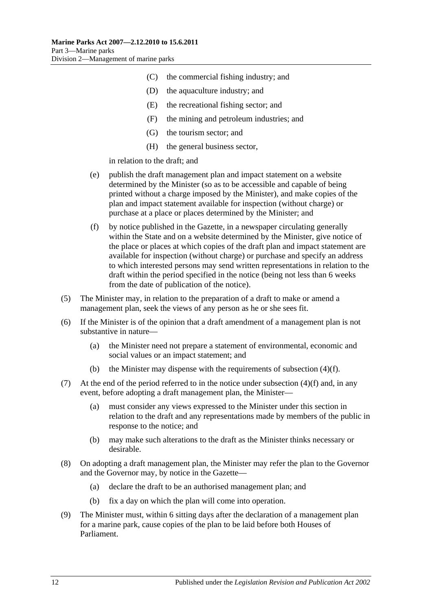- (C) the commercial fishing industry; and
- (D) the aquaculture industry; and
- (E) the recreational fishing sector; and
- (F) the mining and petroleum industries; and
- (G) the tourism sector; and
- (H) the general business sector,

in relation to the draft; and

- (e) publish the draft management plan and impact statement on a website determined by the Minister (so as to be accessible and capable of being printed without a charge imposed by the Minister), and make copies of the plan and impact statement available for inspection (without charge) or purchase at a place or places determined by the Minister; and
- <span id="page-11-0"></span>(f) by notice published in the Gazette, in a newspaper circulating generally within the State and on a website determined by the Minister, give notice of the place or places at which copies of the draft plan and impact statement are available for inspection (without charge) or purchase and specify an address to which interested persons may send written representations in relation to the draft within the period specified in the notice (being not less than 6 weeks from the date of publication of the notice).
- (5) The Minister may, in relation to the preparation of a draft to make or amend a management plan, seek the views of any person as he or she sees fit.
- (6) If the Minister is of the opinion that a draft amendment of a management plan is not substantive in nature—
	- (a) the Minister need not prepare a statement of environmental, economic and social values or an impact statement; and
	- (b) the Minister may dispense with the requirements of [subsection](#page-11-0)  $(4)(f)$ .
- (7) At the end of the period referred to in the notice under [subsection](#page-11-0)  $(4)(f)$  and, in any event, before adopting a draft management plan, the Minister—
	- (a) must consider any views expressed to the Minister under this section in relation to the draft and any representations made by members of the public in response to the notice; and
	- (b) may make such alterations to the draft as the Minister thinks necessary or desirable.
- (8) On adopting a draft management plan, the Minister may refer the plan to the Governor and the Governor may, by notice in the Gazette—
	- (a) declare the draft to be an authorised management plan; and
	- (b) fix a day on which the plan will come into operation.
- (9) The Minister must, within 6 sitting days after the declaration of a management plan for a marine park, cause copies of the plan to be laid before both Houses of Parliament.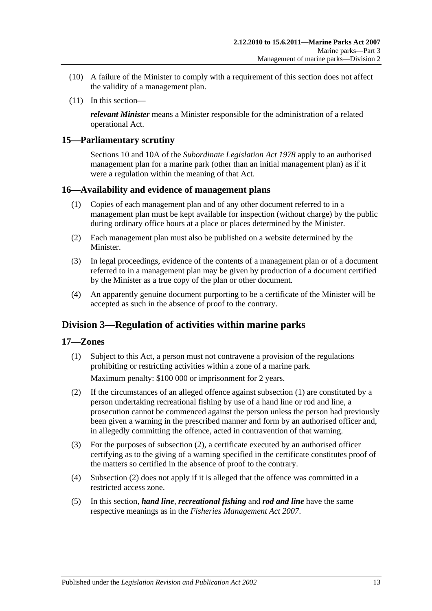- (10) A failure of the Minister to comply with a requirement of this section does not affect the validity of a management plan.
- (11) In this section—

*relevant Minister* means a Minister responsible for the administration of a related operational Act.

### <span id="page-12-0"></span>**15—Parliamentary scrutiny**

Sections 10 and 10A of the *[Subordinate Legislation Act](http://www.legislation.sa.gov.au/index.aspx?action=legref&type=act&legtitle=Subordinate%20Legislation%20Act%201978) 1978* apply to an authorised management plan for a marine park (other than an initial management plan) as if it were a regulation within the meaning of that Act.

#### <span id="page-12-1"></span>**16—Availability and evidence of management plans**

- (1) Copies of each management plan and of any other document referred to in a management plan must be kept available for inspection (without charge) by the public during ordinary office hours at a place or places determined by the Minister.
- (2) Each management plan must also be published on a website determined by the **Minister**
- (3) In legal proceedings, evidence of the contents of a management plan or of a document referred to in a management plan may be given by production of a document certified by the Minister as a true copy of the plan or other document.
- (4) An apparently genuine document purporting to be a certificate of the Minister will be accepted as such in the absence of proof to the contrary.

## <span id="page-12-2"></span>**Division 3—Regulation of activities within marine parks**

## <span id="page-12-4"></span><span id="page-12-3"></span>**17—Zones**

(1) Subject to this Act, a person must not contravene a provision of the regulations prohibiting or restricting activities within a zone of a marine park.

Maximum penalty: \$100 000 or imprisonment for 2 years.

- <span id="page-12-5"></span>(2) If the circumstances of an alleged offence against [subsection](#page-12-4) (1) are constituted by a person undertaking recreational fishing by use of a hand line or rod and line, a prosecution cannot be commenced against the person unless the person had previously been given a warning in the prescribed manner and form by an authorised officer and, in allegedly committing the offence, acted in contravention of that warning.
- (3) For the purposes of [subsection](#page-12-5) (2), a certificate executed by an authorised officer certifying as to the giving of a warning specified in the certificate constitutes proof of the matters so certified in the absence of proof to the contrary.
- (4) [Subsection](#page-12-5) (2) does not apply if it is alleged that the offence was committed in a restricted access zone.
- (5) In this section, *hand line*, *recreational fishing* and *rod and line* have the same respective meanings as in the *[Fisheries Management Act](http://www.legislation.sa.gov.au/index.aspx?action=legref&type=act&legtitle=Fisheries%20Management%20Act%202007) 2007*.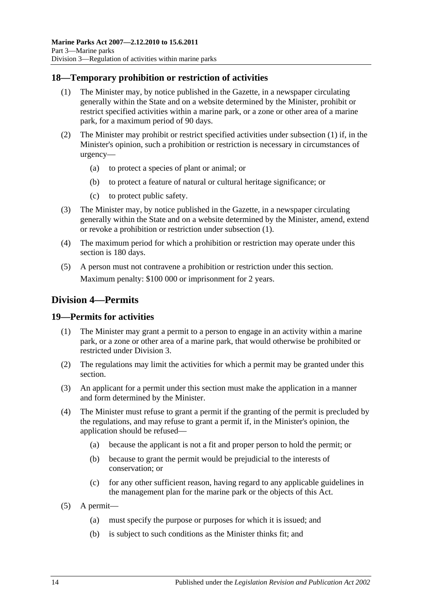## <span id="page-13-3"></span><span id="page-13-0"></span>**18—Temporary prohibition or restriction of activities**

- (1) The Minister may, by notice published in the Gazette, in a newspaper circulating generally within the State and on a website determined by the Minister, prohibit or restrict specified activities within a marine park, or a zone or other area of a marine park, for a maximum period of 90 days.
- (2) The Minister may prohibit or restrict specified activities under [subsection](#page-13-3) (1) if, in the Minister's opinion, such a prohibition or restriction is necessary in circumstances of urgency—
	- (a) to protect a species of plant or animal; or
	- (b) to protect a feature of natural or cultural heritage significance; or
	- (c) to protect public safety.
- (3) The Minister may, by notice published in the Gazette, in a newspaper circulating generally within the State and on a website determined by the Minister, amend, extend or revoke a prohibition or restriction under [subsection](#page-13-3) (1).
- (4) The maximum period for which a prohibition or restriction may operate under this section is 180 days.
- (5) A person must not contravene a prohibition or restriction under this section. Maximum penalty: \$100 000 or imprisonment for 2 years.

## <span id="page-13-1"></span>**Division 4—Permits**

## <span id="page-13-2"></span>**19—Permits for activities**

- (1) The Minister may grant a permit to a person to engage in an activity within a marine park, or a zone or other area of a marine park, that would otherwise be prohibited or restricted under [Division 3.](#page-12-2)
- (2) The regulations may limit the activities for which a permit may be granted under this section.
- (3) An applicant for a permit under this section must make the application in a manner and form determined by the Minister.
- (4) The Minister must refuse to grant a permit if the granting of the permit is precluded by the regulations, and may refuse to grant a permit if, in the Minister's opinion, the application should be refused—
	- (a) because the applicant is not a fit and proper person to hold the permit; or
	- (b) because to grant the permit would be prejudicial to the interests of conservation; or
	- (c) for any other sufficient reason, having regard to any applicable guidelines in the management plan for the marine park or the objects of this Act.
- (5) A permit—
	- (a) must specify the purpose or purposes for which it is issued; and
	- (b) is subject to such conditions as the Minister thinks fit; and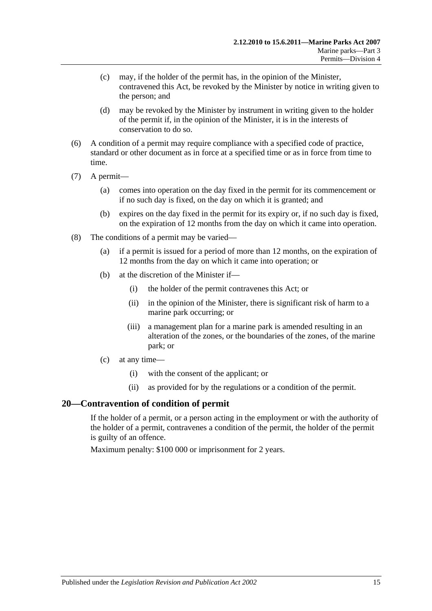- (c) may, if the holder of the permit has, in the opinion of the Minister, contravened this Act, be revoked by the Minister by notice in writing given to the person; and
- (d) may be revoked by the Minister by instrument in writing given to the holder of the permit if, in the opinion of the Minister, it is in the interests of conservation to do so.
- (6) A condition of a permit may require compliance with a specified code of practice, standard or other document as in force at a specified time or as in force from time to time.
- (7) A permit—
	- (a) comes into operation on the day fixed in the permit for its commencement or if no such day is fixed, on the day on which it is granted; and
	- (b) expires on the day fixed in the permit for its expiry or, if no such day is fixed, on the expiration of 12 months from the day on which it came into operation.
- (8) The conditions of a permit may be varied—
	- (a) if a permit is issued for a period of more than 12 months, on the expiration of 12 months from the day on which it came into operation; or
	- (b) at the discretion of the Minister if—
		- (i) the holder of the permit contravenes this Act; or
		- (ii) in the opinion of the Minister, there is significant risk of harm to a marine park occurring; or
		- (iii) a management plan for a marine park is amended resulting in an alteration of the zones, or the boundaries of the zones, of the marine park; or
	- (c) at any time—
		- (i) with the consent of the applicant; or
		- (ii) as provided for by the regulations or a condition of the permit.

## <span id="page-14-0"></span>**20—Contravention of condition of permit**

If the holder of a permit, or a person acting in the employment or with the authority of the holder of a permit, contravenes a condition of the permit, the holder of the permit is guilty of an offence.

Maximum penalty: \$100 000 or imprisonment for 2 years.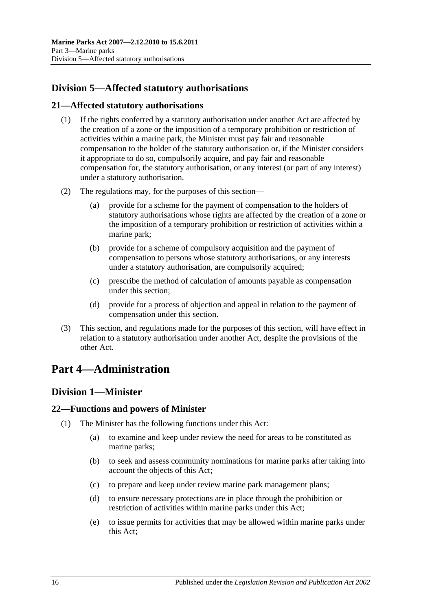## <span id="page-15-0"></span>**Division 5—Affected statutory authorisations**

## <span id="page-15-1"></span>**21—Affected statutory authorisations**

- (1) If the rights conferred by a statutory authorisation under another Act are affected by the creation of a zone or the imposition of a temporary prohibition or restriction of activities within a marine park, the Minister must pay fair and reasonable compensation to the holder of the statutory authorisation or, if the Minister considers it appropriate to do so, compulsorily acquire, and pay fair and reasonable compensation for, the statutory authorisation, or any interest (or part of any interest) under a statutory authorisation.
- (2) The regulations may, for the purposes of this section
	- provide for a scheme for the payment of compensation to the holders of statutory authorisations whose rights are affected by the creation of a zone or the imposition of a temporary prohibition or restriction of activities within a marine park;
	- (b) provide for a scheme of compulsory acquisition and the payment of compensation to persons whose statutory authorisations, or any interests under a statutory authorisation, are compulsorily acquired;
	- (c) prescribe the method of calculation of amounts payable as compensation under this section;
	- (d) provide for a process of objection and appeal in relation to the payment of compensation under this section.
- (3) This section, and regulations made for the purposes of this section, will have effect in relation to a statutory authorisation under another Act, despite the provisions of the other Act.

## <span id="page-15-2"></span>**Part 4—Administration**

## <span id="page-15-3"></span>**Division 1—Minister**

#### <span id="page-15-4"></span>**22—Functions and powers of Minister**

- (1) The Minister has the following functions under this Act:
	- (a) to examine and keep under review the need for areas to be constituted as marine parks;
	- (b) to seek and assess community nominations for marine parks after taking into account the objects of this Act;
	- (c) to prepare and keep under review marine park management plans;
	- (d) to ensure necessary protections are in place through the prohibition or restriction of activities within marine parks under this Act;
	- (e) to issue permits for activities that may be allowed within marine parks under this Act;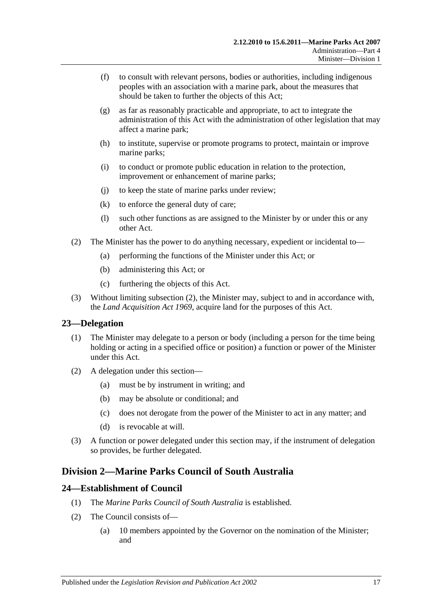- (f) to consult with relevant persons, bodies or authorities, including indigenous peoples with an association with a marine park, about the measures that should be taken to further the objects of this Act;
- (g) as far as reasonably practicable and appropriate, to act to integrate the administration of this Act with the administration of other legislation that may affect a marine park;
- (h) to institute, supervise or promote programs to protect, maintain or improve marine parks;
- (i) to conduct or promote public education in relation to the protection, improvement or enhancement of marine parks;
- (j) to keep the state of marine parks under review;
- (k) to enforce the general duty of care;
- (l) such other functions as are assigned to the Minister by or under this or any other Act.
- <span id="page-16-3"></span>(2) The Minister has the power to do anything necessary, expedient or incidental to—
	- (a) performing the functions of the Minister under this Act; or
	- (b) administering this Act; or
	- (c) furthering the objects of this Act.
- (3) Without limiting [subsection](#page-16-3) (2), the Minister may, subject to and in accordance with, the *[Land Acquisition Act](http://www.legislation.sa.gov.au/index.aspx?action=legref&type=act&legtitle=Land%20Acquisition%20Act%201969) 1969*, acquire land for the purposes of this Act.

#### <span id="page-16-0"></span>**23—Delegation**

- (1) The Minister may delegate to a person or body (including a person for the time being holding or acting in a specified office or position) a function or power of the Minister under this Act.
- (2) A delegation under this section—
	- (a) must be by instrument in writing; and
	- (b) may be absolute or conditional; and
	- (c) does not derogate from the power of the Minister to act in any matter; and
	- (d) is revocable at will.
- (3) A function or power delegated under this section may, if the instrument of delegation so provides, be further delegated.

## <span id="page-16-1"></span>**Division 2—Marine Parks Council of South Australia**

## <span id="page-16-2"></span>**24—Establishment of Council**

- (1) The *Marine Parks Council of South Australia* is established.
- (2) The Council consists of—
	- (a) 10 members appointed by the Governor on the nomination of the Minister; and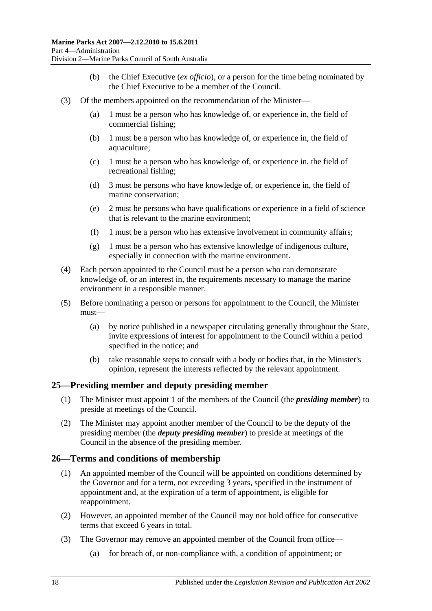- (b) the Chief Executive (*ex officio*), or a person for the time being nominated by the Chief Executive to be a member of the Council.
- <span id="page-17-3"></span>(3) Of the members appointed on the recommendation of the Minister—
	- (a) 1 must be a person who has knowledge of, or experience in, the field of commercial fishing;
	- (b) 1 must be a person who has knowledge of, or experience in, the field of aquaculture;
	- (c) 1 must be a person who has knowledge of, or experience in, the field of recreational fishing;
	- (d) 3 must be persons who have knowledge of, or experience in, the field of marine conservation;
	- (e) 2 must be persons who have qualifications or experience in a field of science that is relevant to the marine environment;
	- (f) 1 must be a person who has extensive involvement in community affairs;
	- (g) 1 must be a person who has extensive knowledge of indigenous culture, especially in connection with the marine environment.
- (4) Each person appointed to the Council must be a person who can demonstrate knowledge of, or an interest in, the requirements necessary to manage the marine environment in a responsible manner.
- (5) Before nominating a person or persons for appointment to the Council, the Minister must—
	- (a) by notice published in a newspaper circulating generally throughout the State, invite expressions of interest for appointment to the Council within a period specified in the notice; and
	- (b) take reasonable steps to consult with a body or bodies that, in the Minister's opinion, represent the interests reflected by the relevant appointment.

## <span id="page-17-0"></span>**25—Presiding member and deputy presiding member**

- (1) The Minister must appoint 1 of the members of the Council (the *presiding member*) to preside at meetings of the Council.
- (2) The Minister may appoint another member of the Council to be the deputy of the presiding member (the *deputy presiding member*) to preside at meetings of the Council in the absence of the presiding member.

#### <span id="page-17-1"></span>**26—Terms and conditions of membership**

- (1) An appointed member of the Council will be appointed on conditions determined by the Governor and for a term, not exceeding 3 years, specified in the instrument of appointment and, at the expiration of a term of appointment, is eligible for reappointment.
- (2) However, an appointed member of the Council may not hold office for consecutive terms that exceed 6 years in total.
- <span id="page-17-2"></span>(3) The Governor may remove an appointed member of the Council from office—
	- (a) for breach of, or non-compliance with, a condition of appointment; or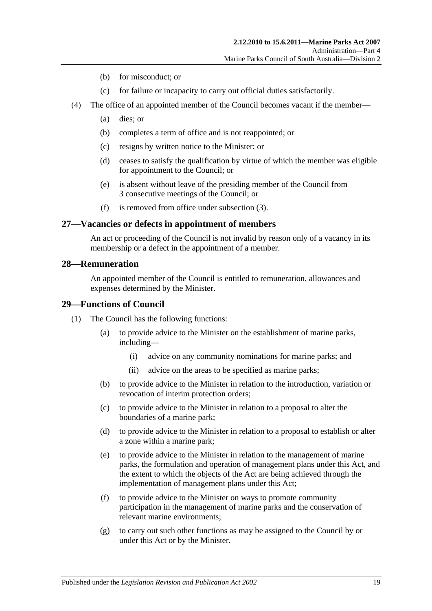- (b) for misconduct; or
- (c) for failure or incapacity to carry out official duties satisfactorily.
- (4) The office of an appointed member of the Council becomes vacant if the member—
	- (a) dies; or
	- (b) completes a term of office and is not reappointed; or
	- (c) resigns by written notice to the Minister; or
	- (d) ceases to satisfy the qualification by virtue of which the member was eligible for appointment to the Council; or
	- (e) is absent without leave of the presiding member of the Council from 3 consecutive meetings of the Council; or
	- (f) is removed from office under [subsection](#page-17-2) (3).

#### <span id="page-18-0"></span>**27—Vacancies or defects in appointment of members**

An act or proceeding of the Council is not invalid by reason only of a vacancy in its membership or a defect in the appointment of a member.

#### <span id="page-18-1"></span>**28—Remuneration**

An appointed member of the Council is entitled to remuneration, allowances and expenses determined by the Minister.

#### <span id="page-18-2"></span>**29—Functions of Council**

- (1) The Council has the following functions:
	- (a) to provide advice to the Minister on the establishment of marine parks, including—
		- (i) advice on any community nominations for marine parks; and
		- (ii) advice on the areas to be specified as marine parks;
	- (b) to provide advice to the Minister in relation to the introduction, variation or revocation of interim protection orders;
	- (c) to provide advice to the Minister in relation to a proposal to alter the boundaries of a marine park;
	- (d) to provide advice to the Minister in relation to a proposal to establish or alter a zone within a marine park;
	- (e) to provide advice to the Minister in relation to the management of marine parks, the formulation and operation of management plans under this Act, and the extent to which the objects of the Act are being achieved through the implementation of management plans under this Act;
	- (f) to provide advice to the Minister on ways to promote community participation in the management of marine parks and the conservation of relevant marine environments;
	- (g) to carry out such other functions as may be assigned to the Council by or under this Act or by the Minister.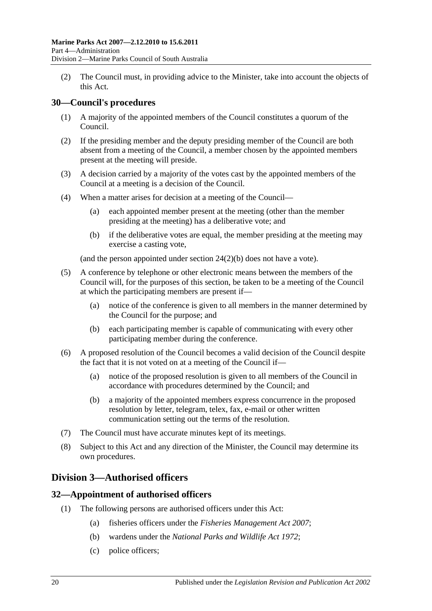(2) The Council must, in providing advice to the Minister, take into account the objects of this Act.

## <span id="page-19-0"></span>**30—Council's procedures**

- (1) A majority of the appointed members of the Council constitutes a quorum of the Council.
- (2) If the presiding member and the deputy presiding member of the Council are both absent from a meeting of the Council, a member chosen by the appointed members present at the meeting will preside.
- (3) A decision carried by a majority of the votes cast by the appointed members of the Council at a meeting is a decision of the Council.
- (4) When a matter arises for decision at a meeting of the Council—
	- (a) each appointed member present at the meeting (other than the member presiding at the meeting) has a deliberative vote; and
	- (b) if the deliberative votes are equal, the member presiding at the meeting may exercise a casting vote,

(and the person appointed under section [24\(2\)\(b\)](#page-17-3) does not have a vote).

- (5) A conference by telephone or other electronic means between the members of the Council will, for the purposes of this section, be taken to be a meeting of the Council at which the participating members are present if—
	- (a) notice of the conference is given to all members in the manner determined by the Council for the purpose; and
	- (b) each participating member is capable of communicating with every other participating member during the conference.
- (6) A proposed resolution of the Council becomes a valid decision of the Council despite the fact that it is not voted on at a meeting of the Council if—
	- (a) notice of the proposed resolution is given to all members of the Council in accordance with procedures determined by the Council; and
	- (b) a majority of the appointed members express concurrence in the proposed resolution by letter, telegram, telex, fax, e-mail or other written communication setting out the terms of the resolution.
- (7) The Council must have accurate minutes kept of its meetings.
- (8) Subject to this Act and any direction of the Minister, the Council may determine its own procedures.

## <span id="page-19-1"></span>**Division 3—Authorised officers**

## <span id="page-19-2"></span>**32—Appointment of authorised officers**

- (1) The following persons are authorised officers under this Act:
	- (a) fisheries officers under the *[Fisheries Management Act](http://www.legislation.sa.gov.au/index.aspx?action=legref&type=act&legtitle=Fisheries%20Management%20Act%202007) 2007*;
	- (b) wardens under the *[National Parks and Wildlife Act](http://www.legislation.sa.gov.au/index.aspx?action=legref&type=act&legtitle=National%20Parks%20and%20Wildlife%20Act%201972) 1972*;
	- (c) police officers;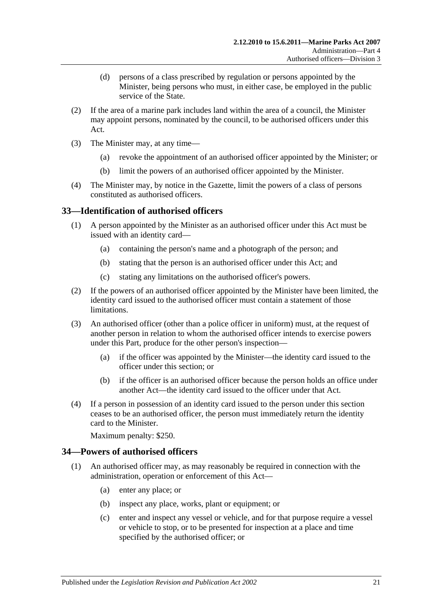- (d) persons of a class prescribed by regulation or persons appointed by the Minister, being persons who must, in either case, be employed in the public service of the State.
- (2) If the area of a marine park includes land within the area of a council, the Minister may appoint persons, nominated by the council, to be authorised officers under this Act.
- (3) The Minister may, at any time—
	- (a) revoke the appointment of an authorised officer appointed by the Minister; or
	- (b) limit the powers of an authorised officer appointed by the Minister.
- (4) The Minister may, by notice in the Gazette, limit the powers of a class of persons constituted as authorised officers.

## <span id="page-20-0"></span>**33—Identification of authorised officers**

- (1) A person appointed by the Minister as an authorised officer under this Act must be issued with an identity card—
	- (a) containing the person's name and a photograph of the person; and
	- (b) stating that the person is an authorised officer under this Act; and
	- (c) stating any limitations on the authorised officer's powers.
- (2) If the powers of an authorised officer appointed by the Minister have been limited, the identity card issued to the authorised officer must contain a statement of those limitations.
- (3) An authorised officer (other than a police officer in uniform) must, at the request of another person in relation to whom the authorised officer intends to exercise powers under this Part, produce for the other person's inspection—
	- (a) if the officer was appointed by the Minister—the identity card issued to the officer under this section; or
	- (b) if the officer is an authorised officer because the person holds an office under another Act—the identity card issued to the officer under that Act.
- (4) If a person in possession of an identity card issued to the person under this section ceases to be an authorised officer, the person must immediately return the identity card to the Minister.

Maximum penalty: \$250.

## <span id="page-20-2"></span><span id="page-20-1"></span>**34—Powers of authorised officers**

- (1) An authorised officer may, as may reasonably be required in connection with the administration, operation or enforcement of this Act—
	- (a) enter any place; or
	- (b) inspect any place, works, plant or equipment; or
	- (c) enter and inspect any vessel or vehicle, and for that purpose require a vessel or vehicle to stop, or to be presented for inspection at a place and time specified by the authorised officer; or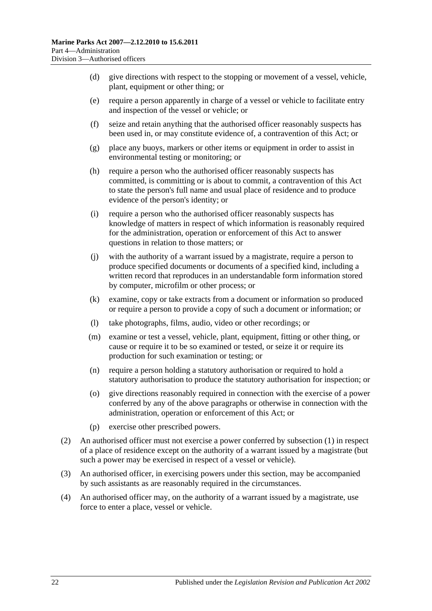- (d) give directions with respect to the stopping or movement of a vessel, vehicle, plant, equipment or other thing; or
- (e) require a person apparently in charge of a vessel or vehicle to facilitate entry and inspection of the vessel or vehicle; or
- (f) seize and retain anything that the authorised officer reasonably suspects has been used in, or may constitute evidence of, a contravention of this Act; or
- <span id="page-21-2"></span>(g) place any buoys, markers or other items or equipment in order to assist in environmental testing or monitoring; or
- (h) require a person who the authorised officer reasonably suspects has committed, is committing or is about to commit, a contravention of this Act to state the person's full name and usual place of residence and to produce evidence of the person's identity; or
- (i) require a person who the authorised officer reasonably suspects has knowledge of matters in respect of which information is reasonably required for the administration, operation or enforcement of this Act to answer questions in relation to those matters; or
- (j) with the authority of a warrant issued by a magistrate, require a person to produce specified documents or documents of a specified kind, including a written record that reproduces in an understandable form information stored by computer, microfilm or other process; or
- (k) examine, copy or take extracts from a document or information so produced or require a person to provide a copy of such a document or information; or
- (l) take photographs, films, audio, video or other recordings; or
- (m) examine or test a vessel, vehicle, plant, equipment, fitting or other thing, or cause or require it to be so examined or tested, or seize it or require its production for such examination or testing; or
- (n) require a person holding a statutory authorisation or required to hold a statutory authorisation to produce the statutory authorisation for inspection; or
- (o) give directions reasonably required in connection with the exercise of a power conferred by any of the above paragraphs or otherwise in connection with the administration, operation or enforcement of this Act; or
- (p) exercise other prescribed powers.
- <span id="page-21-0"></span>(2) An authorised officer must not exercise a power conferred by [subsection](#page-20-2) (1) in respect of a place of residence except on the authority of a warrant issued by a magistrate (but such a power may be exercised in respect of a vessel or vehicle).
- (3) An authorised officer, in exercising powers under this section, may be accompanied by such assistants as are reasonably required in the circumstances.
- <span id="page-21-1"></span>(4) An authorised officer may, on the authority of a warrant issued by a magistrate, use force to enter a place, vessel or vehicle.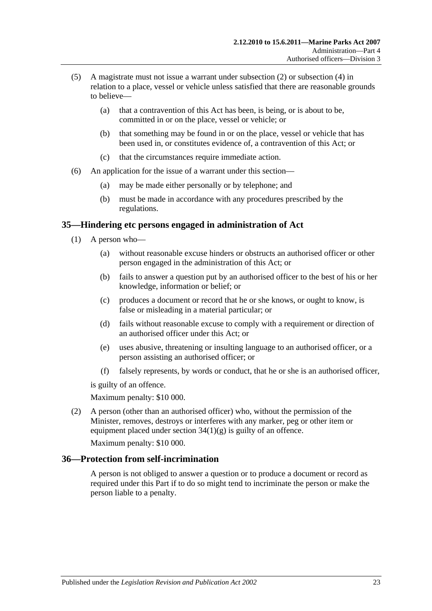- (5) A magistrate must not issue a warrant under [subsection](#page-21-0) (2) or [subsection](#page-21-1) (4) in relation to a place, vessel or vehicle unless satisfied that there are reasonable grounds to believe—
	- (a) that a contravention of this Act has been, is being, or is about to be, committed in or on the place, vessel or vehicle; or
	- (b) that something may be found in or on the place, vessel or vehicle that has been used in, or constitutes evidence of, a contravention of this Act; or
	- (c) that the circumstances require immediate action.
- (6) An application for the issue of a warrant under this section—
	- (a) may be made either personally or by telephone; and
	- (b) must be made in accordance with any procedures prescribed by the regulations.

#### <span id="page-22-0"></span>**35—Hindering etc persons engaged in administration of Act**

- (1) A person who—
	- (a) without reasonable excuse hinders or obstructs an authorised officer or other person engaged in the administration of this Act; or
	- (b) fails to answer a question put by an authorised officer to the best of his or her knowledge, information or belief; or
	- (c) produces a document or record that he or she knows, or ought to know, is false or misleading in a material particular; or
	- (d) fails without reasonable excuse to comply with a requirement or direction of an authorised officer under this Act; or
	- (e) uses abusive, threatening or insulting language to an authorised officer, or a person assisting an authorised officer; or
	- (f) falsely represents, by words or conduct, that he or she is an authorised officer,

is guilty of an offence.

Maximum penalty: \$10 000.

(2) A person (other than an authorised officer) who, without the permission of the Minister, removes, destroys or interferes with any marker, peg or other item or equipment placed under section  $34(1)(g)$  is guilty of an offence.

Maximum penalty: \$10 000.

#### <span id="page-22-1"></span>**36—Protection from self-incrimination**

A person is not obliged to answer a question or to produce a document or record as required under this Part if to do so might tend to incriminate the person or make the person liable to a penalty.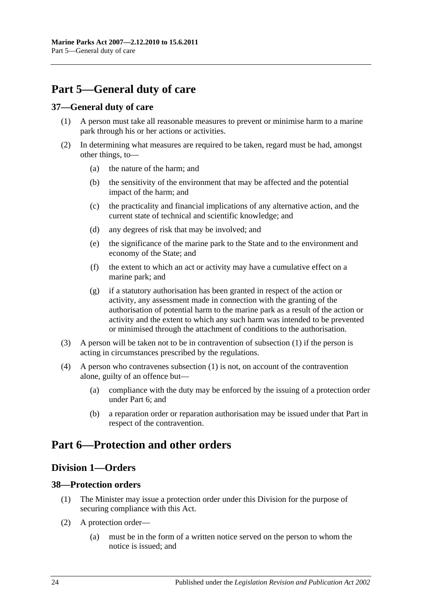## <span id="page-23-0"></span>**Part 5—General duty of care**

## <span id="page-23-5"></span><span id="page-23-1"></span>**37—General duty of care**

- (1) A person must take all reasonable measures to prevent or minimise harm to a marine park through his or her actions or activities.
- (2) In determining what measures are required to be taken, regard must be had, amongst other things, to—
	- (a) the nature of the harm; and
	- (b) the sensitivity of the environment that may be affected and the potential impact of the harm; and
	- (c) the practicality and financial implications of any alternative action, and the current state of technical and scientific knowledge; and
	- (d) any degrees of risk that may be involved; and
	- (e) the significance of the marine park to the State and to the environment and economy of the State; and
	- (f) the extent to which an act or activity may have a cumulative effect on a marine park; and
	- (g) if a statutory authorisation has been granted in respect of the action or activity, any assessment made in connection with the granting of the authorisation of potential harm to the marine park as a result of the action or activity and the extent to which any such harm was intended to be prevented or minimised through the attachment of conditions to the authorisation.
- (3) A person will be taken not to be in contravention of [subsection](#page-23-5) (1) if the person is acting in circumstances prescribed by the regulations.
- (4) A person who contravenes [subsection](#page-23-5) (1) is not, on account of the contravention alone, guilty of an offence but—
	- (a) compliance with the duty may be enforced by the issuing of a protection order under [Part 6;](#page-23-2) and
	- (b) a reparation order or reparation authorisation may be issued under that Part in respect of the contravention.

## <span id="page-23-3"></span><span id="page-23-2"></span>**Part 6—Protection and other orders**

## **Division 1—Orders**

#### <span id="page-23-4"></span>**38—Protection orders**

- (1) The Minister may issue a protection order under this Division for the purpose of securing compliance with this Act.
- (2) A protection order—
	- (a) must be in the form of a written notice served on the person to whom the notice is issued; and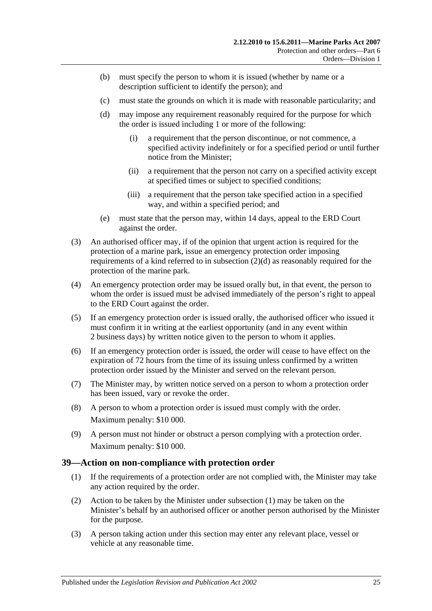- (b) must specify the person to whom it is issued (whether by name or a description sufficient to identify the person); and
- (c) must state the grounds on which it is made with reasonable particularity; and
- <span id="page-24-1"></span>(d) may impose any requirement reasonably required for the purpose for which the order is issued including 1 or more of the following:
	- (i) a requirement that the person discontinue, or not commence, a specified activity indefinitely or for a specified period or until further notice from the Minister;
	- (ii) a requirement that the person not carry on a specified activity except at specified times or subject to specified conditions;
	- (iii) a requirement that the person take specified action in a specified way, and within a specified period; and
- (e) must state that the person may, within 14 days, appeal to the ERD Court against the order.
- (3) An authorised officer may, if of the opinion that urgent action is required for the protection of a marine park, issue an emergency protection order imposing requirements of a kind referred to in [subsection](#page-24-1) (2)(d) as reasonably required for the protection of the marine park.
- (4) An emergency protection order may be issued orally but, in that event, the person to whom the order is issued must be advised immediately of the person's right to appeal to the ERD Court against the order.
- (5) If an emergency protection order is issued orally, the authorised officer who issued it must confirm it in writing at the earliest opportunity (and in any event within 2 business days) by written notice given to the person to whom it applies.
- (6) If an emergency protection order is issued, the order will cease to have effect on the expiration of 72 hours from the time of its issuing unless confirmed by a written protection order issued by the Minister and served on the relevant person.
- (7) The Minister may, by written notice served on a person to whom a protection order has been issued, vary or revoke the order.
- (8) A person to whom a protection order is issued must comply with the order. Maximum penalty: \$10 000.
- (9) A person must not hinder or obstruct a person complying with a protection order. Maximum penalty: \$10 000.

#### <span id="page-24-2"></span><span id="page-24-0"></span>**39—Action on non-compliance with protection order**

- (1) If the requirements of a protection order are not complied with, the Minister may take any action required by the order.
- (2) Action to be taken by the Minister under [subsection](#page-24-2) (1) may be taken on the Minister's behalf by an authorised officer or another person authorised by the Minister for the purpose.
- (3) A person taking action under this section may enter any relevant place, vessel or vehicle at any reasonable time.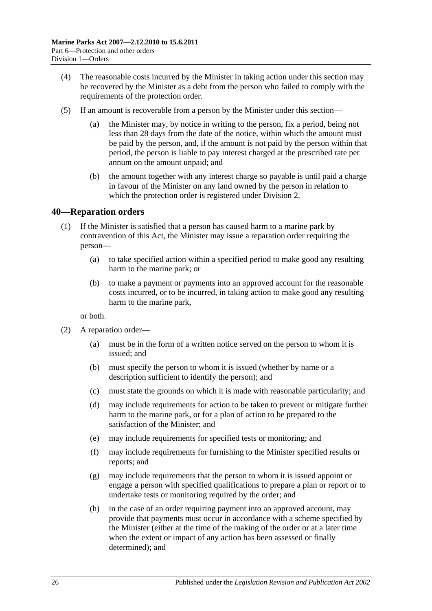- (4) The reasonable costs incurred by the Minister in taking action under this section may be recovered by the Minister as a debt from the person who failed to comply with the requirements of the protection order.
- (5) If an amount is recoverable from a person by the Minister under this section
	- the Minister may, by notice in writing to the person, fix a period, being not less than 28 days from the date of the notice, within which the amount must be paid by the person, and, if the amount is not paid by the person within that period, the person is liable to pay interest charged at the prescribed rate per annum on the amount unpaid; and
	- (b) the amount together with any interest charge so payable is until paid a charge in favour of the Minister on any land owned by the person in relation to which the protection order is registered under [Division 2.](#page-28-1)

#### <span id="page-25-0"></span>**40—Reparation orders**

- (1) If the Minister is satisfied that a person has caused harm to a marine park by contravention of this Act, the Minister may issue a reparation order requiring the person—
	- (a) to take specified action within a specified period to make good any resulting harm to the marine park; or
	- (b) to make a payment or payments into an approved account for the reasonable costs incurred, or to be incurred, in taking action to make good any resulting harm to the marine park,

or both.

- <span id="page-25-1"></span>(2) A reparation order—
	- (a) must be in the form of a written notice served on the person to whom it is issued; and
	- (b) must specify the person to whom it is issued (whether by name or a description sufficient to identify the person); and
	- (c) must state the grounds on which it is made with reasonable particularity; and
	- (d) may include requirements for action to be taken to prevent or mitigate further harm to the marine park, or for a plan of action to be prepared to the satisfaction of the Minister; and
	- (e) may include requirements for specified tests or monitoring; and
	- (f) may include requirements for furnishing to the Minister specified results or reports; and
	- (g) may include requirements that the person to whom it is issued appoint or engage a person with specified qualifications to prepare a plan or report or to undertake tests or monitoring required by the order; and
	- (h) in the case of an order requiring payment into an approved account, may provide that payments must occur in accordance with a scheme specified by the Minister (either at the time of the making of the order or at a later time when the extent or impact of any action has been assessed or finally determined); and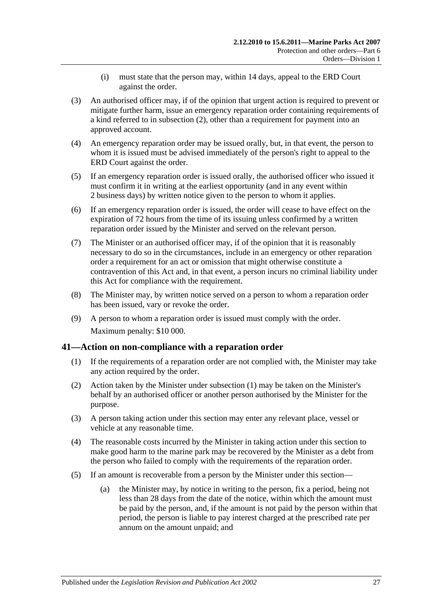- (i) must state that the person may, within 14 days, appeal to the ERD Court against the order.
- (3) An authorised officer may, if of the opinion that urgent action is required to prevent or mitigate further harm, issue an emergency reparation order containing requirements of a kind referred to in [subsection](#page-25-1) (2), other than a requirement for payment into an approved account.
- (4) An emergency reparation order may be issued orally, but, in that event, the person to whom it is issued must be advised immediately of the person's right to appeal to the ERD Court against the order.
- (5) If an emergency reparation order is issued orally, the authorised officer who issued it must confirm it in writing at the earliest opportunity (and in any event within 2 business days) by written notice given to the person to whom it applies.
- (6) If an emergency reparation order is issued, the order will cease to have effect on the expiration of 72 hours from the time of its issuing unless confirmed by a written reparation order issued by the Minister and served on the relevant person.
- (7) The Minister or an authorised officer may, if of the opinion that it is reasonably necessary to do so in the circumstances, include in an emergency or other reparation order a requirement for an act or omission that might otherwise constitute a contravention of this Act and, in that event, a person incurs no criminal liability under this Act for compliance with the requirement.
- (8) The Minister may, by written notice served on a person to whom a reparation order has been issued, vary or revoke the order.
- (9) A person to whom a reparation order is issued must comply with the order. Maximum penalty: \$10 000.

## <span id="page-26-1"></span><span id="page-26-0"></span>**41—Action on non-compliance with a reparation order**

- (1) If the requirements of a reparation order are not complied with, the Minister may take any action required by the order.
- (2) Action taken by the Minister under [subsection](#page-26-1) (1) may be taken on the Minister's behalf by an authorised officer or another person authorised by the Minister for the purpose.
- (3) A person taking action under this section may enter any relevant place, vessel or vehicle at any reasonable time.
- (4) The reasonable costs incurred by the Minister in taking action under this section to make good harm to the marine park may be recovered by the Minister as a debt from the person who failed to comply with the requirements of the reparation order.
- (5) If an amount is recoverable from a person by the Minister under this section—
	- (a) the Minister may, by notice in writing to the person, fix a period, being not less than 28 days from the date of the notice, within which the amount must be paid by the person, and, if the amount is not paid by the person within that period, the person is liable to pay interest charged at the prescribed rate per annum on the amount unpaid; and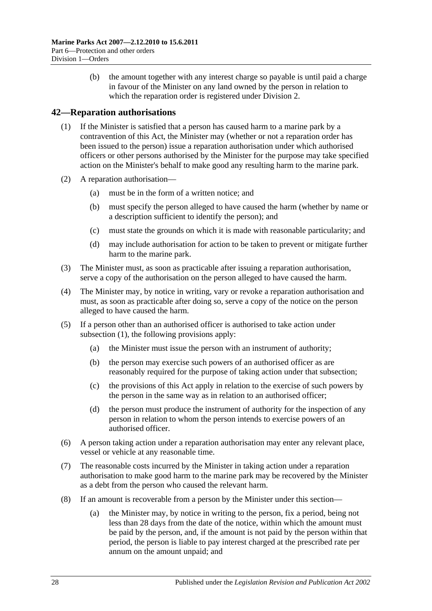(b) the amount together with any interest charge so payable is until paid a charge in favour of the Minister on any land owned by the person in relation to which the reparation order is registered under [Division 2.](#page-28-1)

## <span id="page-27-1"></span><span id="page-27-0"></span>**42—Reparation authorisations**

- (1) If the Minister is satisfied that a person has caused harm to a marine park by a contravention of this Act, the Minister may (whether or not a reparation order has been issued to the person) issue a reparation authorisation under which authorised officers or other persons authorised by the Minister for the purpose may take specified action on the Minister's behalf to make good any resulting harm to the marine park.
- (2) A reparation authorisation—
	- (a) must be in the form of a written notice; and
	- (b) must specify the person alleged to have caused the harm (whether by name or a description sufficient to identify the person); and
	- (c) must state the grounds on which it is made with reasonable particularity; and
	- (d) may include authorisation for action to be taken to prevent or mitigate further harm to the marine park.
- (3) The Minister must, as soon as practicable after issuing a reparation authorisation, serve a copy of the authorisation on the person alleged to have caused the harm.
- (4) The Minister may, by notice in writing, vary or revoke a reparation authorisation and must, as soon as practicable after doing so, serve a copy of the notice on the person alleged to have caused the harm.
- (5) If a person other than an authorised officer is authorised to take action under [subsection](#page-27-1) (1), the following provisions apply:
	- (a) the Minister must issue the person with an instrument of authority;
	- (b) the person may exercise such powers of an authorised officer as are reasonably required for the purpose of taking action under that subsection;
	- (c) the provisions of this Act apply in relation to the exercise of such powers by the person in the same way as in relation to an authorised officer;
	- (d) the person must produce the instrument of authority for the inspection of any person in relation to whom the person intends to exercise powers of an authorised officer.
- (6) A person taking action under a reparation authorisation may enter any relevant place, vessel or vehicle at any reasonable time.
- (7) The reasonable costs incurred by the Minister in taking action under a reparation authorisation to make good harm to the marine park may be recovered by the Minister as a debt from the person who caused the relevant harm.
- (8) If an amount is recoverable from a person by the Minister under this section—
	- (a) the Minister may, by notice in writing to the person, fix a period, being not less than 28 days from the date of the notice, within which the amount must be paid by the person, and, if the amount is not paid by the person within that period, the person is liable to pay interest charged at the prescribed rate per annum on the amount unpaid; and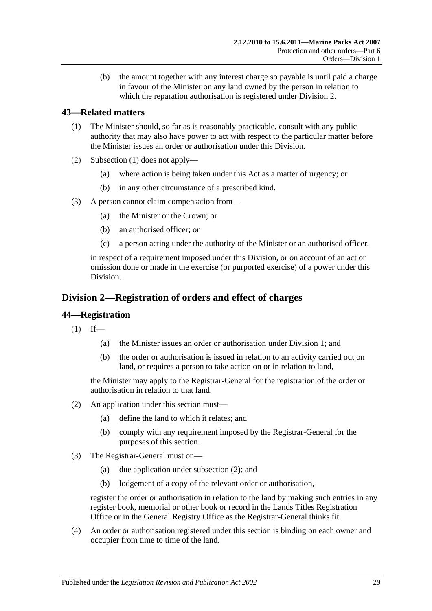(b) the amount together with any interest charge so payable is until paid a charge in favour of the Minister on any land owned by the person in relation to which the reparation authorisation is registered under [Division 2.](#page-28-1)

## <span id="page-28-3"></span><span id="page-28-0"></span>**43—Related matters**

- (1) The Minister should, so far as is reasonably practicable, consult with any public authority that may also have power to act with respect to the particular matter before the Minister issues an order or authorisation under this Division.
- (2) [Subsection](#page-28-3) (1) does not apply—
	- (a) where action is being taken under this Act as a matter of urgency; or
	- (b) in any other circumstance of a prescribed kind.
- (3) A person cannot claim compensation from—
	- (a) the Minister or the Crown; or
	- (b) an authorised officer; or
	- (c) a person acting under the authority of the Minister or an authorised officer,

in respect of a requirement imposed under this Division, or on account of an act or omission done or made in the exercise (or purported exercise) of a power under this Division.

## <span id="page-28-1"></span>**Division 2—Registration of orders and effect of charges**

## <span id="page-28-2"></span>**44—Registration**

- $(1)$  If—
	- (a) the Minister issues an order or authorisation under [Division 1;](#page-23-3) and
	- (b) the order or authorisation is issued in relation to an activity carried out on land, or requires a person to take action on or in relation to land,

the Minister may apply to the Registrar-General for the registration of the order or authorisation in relation to that land.

- <span id="page-28-4"></span>(2) An application under this section must—
	- (a) define the land to which it relates; and
	- (b) comply with any requirement imposed by the Registrar-General for the purposes of this section.
- (3) The Registrar-General must on—
	- (a) due application under [subsection](#page-28-4) (2); and
	- (b) lodgement of a copy of the relevant order or authorisation,

register the order or authorisation in relation to the land by making such entries in any register book, memorial or other book or record in the Lands Titles Registration Office or in the General Registry Office as the Registrar-General thinks fit.

(4) An order or authorisation registered under this section is binding on each owner and occupier from time to time of the land.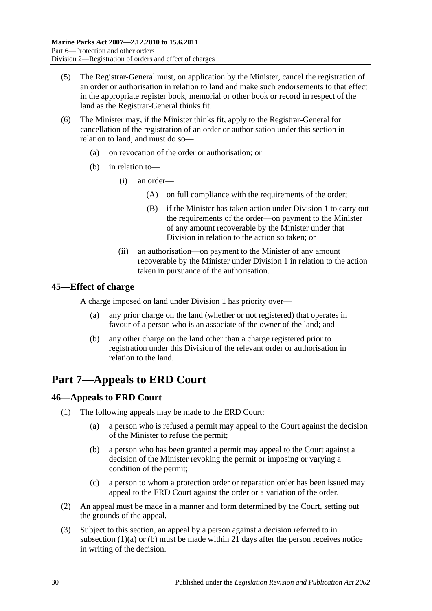- (5) The Registrar-General must, on application by the Minister, cancel the registration of an order or authorisation in relation to land and make such endorsements to that effect in the appropriate register book, memorial or other book or record in respect of the land as the Registrar-General thinks fit.
- (6) The Minister may, if the Minister thinks fit, apply to the Registrar-General for cancellation of the registration of an order or authorisation under this section in relation to land, and must do so—
	- (a) on revocation of the order or authorisation; or
	- (b) in relation to—
		- (i) an order—
			- (A) on full compliance with the requirements of the order;
			- (B) if the Minister has taken action under [Division 1](#page-23-3) to carry out the requirements of the order—on payment to the Minister of any amount recoverable by the Minister under that Division in relation to the action so taken; or
		- (ii) an authorisation—on payment to the Minister of any amount recoverable by the Minister under [Division 1](#page-23-3) in relation to the action taken in pursuance of the authorisation.

## <span id="page-29-0"></span>**45—Effect of charge**

A charge imposed on land under [Division 1](#page-23-3) has priority over—

- (a) any prior charge on the land (whether or not registered) that operates in favour of a person who is an associate of the owner of the land; and
- (b) any other charge on the land other than a charge registered prior to registration under this Division of the relevant order or authorisation in relation to the land.

## <span id="page-29-1"></span>**Part 7—Appeals to ERD Court**

## <span id="page-29-2"></span>**46—Appeals to ERD Court**

- <span id="page-29-4"></span><span id="page-29-3"></span>(1) The following appeals may be made to the ERD Court:
	- (a) a person who is refused a permit may appeal to the Court against the decision of the Minister to refuse the permit;
	- (b) a person who has been granted a permit may appeal to the Court against a decision of the Minister revoking the permit or imposing or varying a condition of the permit;
	- (c) a person to whom a protection order or reparation order has been issued may appeal to the ERD Court against the order or a variation of the order.
- <span id="page-29-5"></span>(2) An appeal must be made in a manner and form determined by the Court, setting out the grounds of the appeal.
- (3) Subject to this section, an appeal by a person against a decision referred to in [subsection](#page-29-3)  $(1)(a)$  or  $(b)$  must be made within 21 days after the person receives notice in writing of the decision.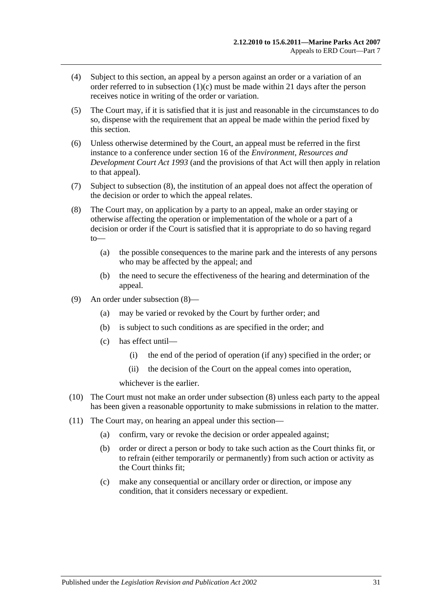- (4) Subject to this section, an appeal by a person against an order or a variation of an order referred to in [subsection](#page-29-5)  $(1)(c)$  must be made within 21 days after the person receives notice in writing of the order or variation.
- (5) The Court may, if it is satisfied that it is just and reasonable in the circumstances to do so, dispense with the requirement that an appeal be made within the period fixed by this section.
- (6) Unless otherwise determined by the Court, an appeal must be referred in the first instance to a conference under section 16 of the *[Environment, Resources and](http://www.legislation.sa.gov.au/index.aspx?action=legref&type=act&legtitle=Environment%20Resources%20and%20Development%20Court%20Act%201993)  [Development Court Act](http://www.legislation.sa.gov.au/index.aspx?action=legref&type=act&legtitle=Environment%20Resources%20and%20Development%20Court%20Act%201993) 1993* (and the provisions of that Act will then apply in relation to that appeal).
- (7) Subject to [subsection](#page-30-0) (8), the institution of an appeal does not affect the operation of the decision or order to which the appeal relates.
- <span id="page-30-0"></span>(8) The Court may, on application by a party to an appeal, make an order staying or otherwise affecting the operation or implementation of the whole or a part of a decision or order if the Court is satisfied that it is appropriate to do so having regard to—
	- (a) the possible consequences to the marine park and the interests of any persons who may be affected by the appeal; and
	- (b) the need to secure the effectiveness of the hearing and determination of the appeal.
- (9) An order under [subsection](#page-30-0) (8)—
	- (a) may be varied or revoked by the Court by further order; and
	- (b) is subject to such conditions as are specified in the order; and
	- (c) has effect until—
		- (i) the end of the period of operation (if any) specified in the order; or
		- (ii) the decision of the Court on the appeal comes into operation,

whichever is the earlier.

- (10) The Court must not make an order under [subsection](#page-30-0) (8) unless each party to the appeal has been given a reasonable opportunity to make submissions in relation to the matter.
- (11) The Court may, on hearing an appeal under this section—
	- (a) confirm, vary or revoke the decision or order appealed against;
	- (b) order or direct a person or body to take such action as the Court thinks fit, or to refrain (either temporarily or permanently) from such action or activity as the Court thinks fit;
	- (c) make any consequential or ancillary order or direction, or impose any condition, that it considers necessary or expedient.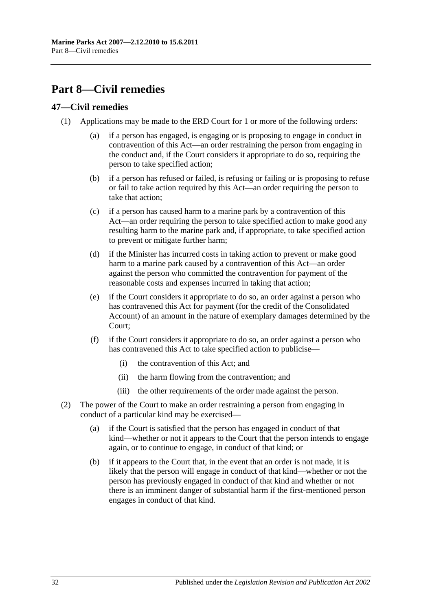## <span id="page-31-0"></span>**Part 8—Civil remedies**

## <span id="page-31-2"></span><span id="page-31-1"></span>**47—Civil remedies**

- (1) Applications may be made to the ERD Court for 1 or more of the following orders:
	- (a) if a person has engaged, is engaging or is proposing to engage in conduct in contravention of this Act—an order restraining the person from engaging in the conduct and, if the Court considers it appropriate to do so, requiring the person to take specified action;
	- (b) if a person has refused or failed, is refusing or failing or is proposing to refuse or fail to take action required by this Act—an order requiring the person to take that action;
	- (c) if a person has caused harm to a marine park by a contravention of this Act—an order requiring the person to take specified action to make good any resulting harm to the marine park and, if appropriate, to take specified action to prevent or mitigate further harm;
	- (d) if the Minister has incurred costs in taking action to prevent or make good harm to a marine park caused by a contravention of this Act—an order against the person who committed the contravention for payment of the reasonable costs and expenses incurred in taking that action;
	- (e) if the Court considers it appropriate to do so, an order against a person who has contravened this Act for payment (for the credit of the Consolidated Account) of an amount in the nature of exemplary damages determined by the Court;
	- (f) if the Court considers it appropriate to do so, an order against a person who has contravened this Act to take specified action to publicise—
		- (i) the contravention of this Act; and
		- (ii) the harm flowing from the contravention; and
		- (iii) the other requirements of the order made against the person.
- (2) The power of the Court to make an order restraining a person from engaging in conduct of a particular kind may be exercised—
	- (a) if the Court is satisfied that the person has engaged in conduct of that kind—whether or not it appears to the Court that the person intends to engage again, or to continue to engage, in conduct of that kind; or
	- (b) if it appears to the Court that, in the event that an order is not made, it is likely that the person will engage in conduct of that kind—whether or not the person has previously engaged in conduct of that kind and whether or not there is an imminent danger of substantial harm if the first-mentioned person engages in conduct of that kind.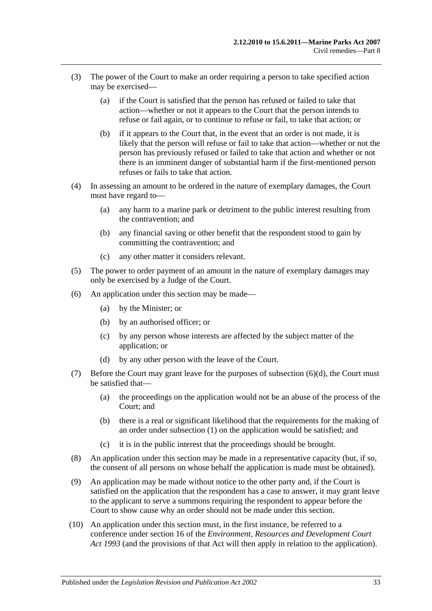- (3) The power of the Court to make an order requiring a person to take specified action may be exercised—
	- (a) if the Court is satisfied that the person has refused or failed to take that action—whether or not it appears to the Court that the person intends to refuse or fail again, or to continue to refuse or fail, to take that action; or
	- (b) if it appears to the Court that, in the event that an order is not made, it is likely that the person will refuse or fail to take that action—whether or not the person has previously refused or failed to take that action and whether or not there is an imminent danger of substantial harm if the first-mentioned person refuses or fails to take that action.
- (4) In assessing an amount to be ordered in the nature of exemplary damages, the Court must have regard to—
	- (a) any harm to a marine park or detriment to the public interest resulting from the contravention; and
	- (b) any financial saving or other benefit that the respondent stood to gain by committing the contravention; and
	- (c) any other matter it considers relevant.
- (5) The power to order payment of an amount in the nature of exemplary damages may only be exercised by a Judge of the Court.
- (6) An application under this section may be made—
	- (a) by the Minister; or
	- (b) by an authorised officer; or
	- (c) by any person whose interests are affected by the subject matter of the application; or
	- (d) by any other person with the leave of the Court.
- <span id="page-32-0"></span>(7) Before the Court may grant leave for the purposes of [subsection](#page-32-0)  $(6)(d)$ , the Court must be satisfied that—
	- (a) the proceedings on the application would not be an abuse of the process of the Court; and
	- (b) there is a real or significant likelihood that the requirements for the making of an order under [subsection](#page-31-2) (1) on the application would be satisfied; and
	- (c) it is in the public interest that the proceedings should be brought.
- (8) An application under this section may be made in a representative capacity (but, if so, the consent of all persons on whose behalf the application is made must be obtained).
- (9) An application may be made without notice to the other party and, if the Court is satisfied on the application that the respondent has a case to answer, it may grant leave to the applicant to serve a summons requiring the respondent to appear before the Court to show cause why an order should not be made under this section.
- (10) An application under this section must, in the first instance, be referred to a conference under section 16 of the *[Environment, Resources and Development Court](http://www.legislation.sa.gov.au/index.aspx?action=legref&type=act&legtitle=Environment%20Resources%20and%20Development%20Court%20Act%201993)  Act [1993](http://www.legislation.sa.gov.au/index.aspx?action=legref&type=act&legtitle=Environment%20Resources%20and%20Development%20Court%20Act%201993)* (and the provisions of that Act will then apply in relation to the application).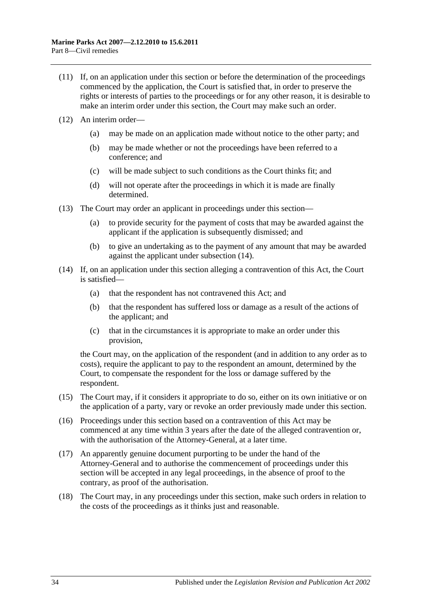- (11) If, on an application under this section or before the determination of the proceedings commenced by the application, the Court is satisfied that, in order to preserve the rights or interests of parties to the proceedings or for any other reason, it is desirable to make an interim order under this section, the Court may make such an order.
- (12) An interim order—
	- (a) may be made on an application made without notice to the other party; and
	- (b) may be made whether or not the proceedings have been referred to a conference; and
	- (c) will be made subject to such conditions as the Court thinks fit; and
	- (d) will not operate after the proceedings in which it is made are finally determined.
- (13) The Court may order an applicant in proceedings under this section—
	- (a) to provide security for the payment of costs that may be awarded against the applicant if the application is subsequently dismissed; and
	- (b) to give an undertaking as to the payment of any amount that may be awarded against the applicant under [subsection](#page-33-0) (14).
- <span id="page-33-0"></span>(14) If, on an application under this section alleging a contravention of this Act, the Court is satisfied—
	- (a) that the respondent has not contravened this Act; and
	- (b) that the respondent has suffered loss or damage as a result of the actions of the applicant; and
	- (c) that in the circumstances it is appropriate to make an order under this provision,

the Court may, on the application of the respondent (and in addition to any order as to costs), require the applicant to pay to the respondent an amount, determined by the Court, to compensate the respondent for the loss or damage suffered by the respondent.

- (15) The Court may, if it considers it appropriate to do so, either on its own initiative or on the application of a party, vary or revoke an order previously made under this section.
- (16) Proceedings under this section based on a contravention of this Act may be commenced at any time within 3 years after the date of the alleged contravention or, with the authorisation of the Attorney-General, at a later time.
- (17) An apparently genuine document purporting to be under the hand of the Attorney-General and to authorise the commencement of proceedings under this section will be accepted in any legal proceedings, in the absence of proof to the contrary, as proof of the authorisation.
- <span id="page-33-1"></span>(18) The Court may, in any proceedings under this section, make such orders in relation to the costs of the proceedings as it thinks just and reasonable.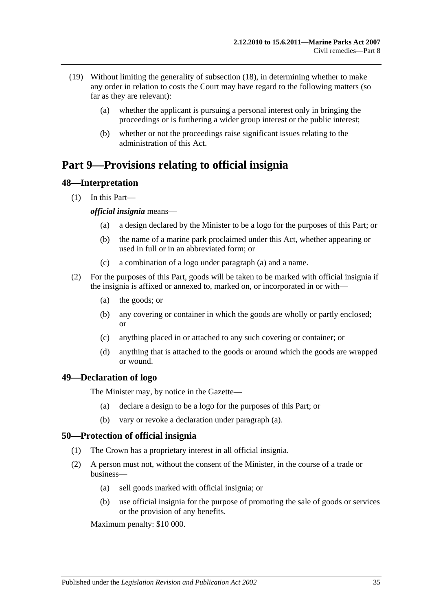- (19) Without limiting the generality of [subsection](#page-33-1) (18), in determining whether to make any order in relation to costs the Court may have regard to the following matters (so far as they are relevant):
	- (a) whether the applicant is pursuing a personal interest only in bringing the proceedings or is furthering a wider group interest or the public interest;
	- (b) whether or not the proceedings raise significant issues relating to the administration of this Act.

## <span id="page-34-0"></span>**Part 9—Provisions relating to official insignia**

## <span id="page-34-1"></span>**48—Interpretation**

<span id="page-34-4"></span>(1) In this Part—

#### *official insignia* means—

- (a) a design declared by the Minister to be a logo for the purposes of this Part; or
- (b) the name of a marine park proclaimed under this Act, whether appearing or used in full or in an abbreviated form; or
- (c) a combination of a logo under [paragraph](#page-34-4) (a) and a name.
- (2) For the purposes of this Part, goods will be taken to be marked with official insignia if the insignia is affixed or annexed to, marked on, or incorporated in or with—
	- (a) the goods; or
	- (b) any covering or container in which the goods are wholly or partly enclosed; or
	- (c) anything placed in or attached to any such covering or container; or
	- (d) anything that is attached to the goods or around which the goods are wrapped or wound.

## <span id="page-34-5"></span><span id="page-34-2"></span>**49—Declaration of logo**

The Minister may, by notice in the Gazette—

- (a) declare a design to be a logo for the purposes of this Part; or
- (b) vary or revoke a declaration under [paragraph](#page-34-5) (a).

## <span id="page-34-3"></span>**50—Protection of official insignia**

- (1) The Crown has a proprietary interest in all official insignia.
- <span id="page-34-6"></span>(2) A person must not, without the consent of the Minister, in the course of a trade or business—
	- (a) sell goods marked with official insignia; or
	- (b) use official insignia for the purpose of promoting the sale of goods or services or the provision of any benefits.

Maximum penalty: \$10 000.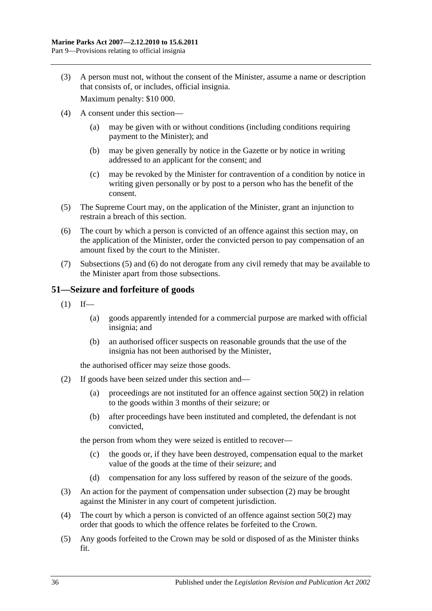(3) A person must not, without the consent of the Minister, assume a name or description that consists of, or includes, official insignia.

Maximum penalty: \$10 000.

- (4) A consent under this section—
	- (a) may be given with or without conditions (including conditions requiring payment to the Minister); and
	- (b) may be given generally by notice in the Gazette or by notice in writing addressed to an applicant for the consent; and
	- (c) may be revoked by the Minister for contravention of a condition by notice in writing given personally or by post to a person who has the benefit of the consent.
- <span id="page-35-1"></span>(5) The Supreme Court may, on the application of the Minister, grant an injunction to restrain a breach of this section.
- <span id="page-35-2"></span>(6) The court by which a person is convicted of an offence against this section may, on the application of the Minister, order the convicted person to pay compensation of an amount fixed by the court to the Minister.
- (7) [Subsections](#page-35-1) (5) and [\(6\)](#page-35-2) do not derogate from any civil remedy that may be available to the Minister apart from those subsections.

#### <span id="page-35-0"></span>**51—Seizure and forfeiture of goods**

- $(1)$  If—
	- (a) goods apparently intended for a commercial purpose are marked with official insignia; and
	- (b) an authorised officer suspects on reasonable grounds that the use of the insignia has not been authorised by the Minister,

the authorised officer may seize those goods.

- <span id="page-35-3"></span>(2) If goods have been seized under this section and—
	- (a) proceedings are not instituted for an offence against [section](#page-34-6) 50(2) in relation to the goods within 3 months of their seizure; or
	- (b) after proceedings have been instituted and completed, the defendant is not convicted,

the person from whom they were seized is entitled to recover—

- (c) the goods or, if they have been destroyed, compensation equal to the market value of the goods at the time of their seizure; and
- (d) compensation for any loss suffered by reason of the seizure of the goods.
- (3) An action for the payment of compensation under [subsection](#page-35-3) (2) may be brought against the Minister in any court of competent jurisdiction.
- (4) The court by which a person is convicted of an offence against [section](#page-34-6) 50(2) may order that goods to which the offence relates be forfeited to the Crown.
- (5) Any goods forfeited to the Crown may be sold or disposed of as the Minister thinks fit.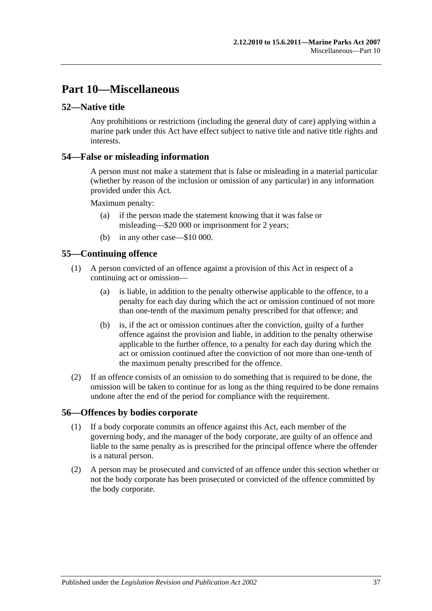## <span id="page-36-0"></span>**Part 10—Miscellaneous**

## <span id="page-36-1"></span>**52—Native title**

Any prohibitions or restrictions (including the general duty of care) applying within a marine park under this Act have effect subject to native title and native title rights and interests.

## <span id="page-36-2"></span>**54—False or misleading information**

A person must not make a statement that is false or misleading in a material particular (whether by reason of the inclusion or omission of any particular) in any information provided under this Act.

Maximum penalty:

- (a) if the person made the statement knowing that it was false or misleading—\$20 000 or imprisonment for 2 years;
- (b) in any other case—\$10 000.

## <span id="page-36-3"></span>**55—Continuing offence**

- (1) A person convicted of an offence against a provision of this Act in respect of a continuing act or omission—
	- (a) is liable, in addition to the penalty otherwise applicable to the offence, to a penalty for each day during which the act or omission continued of not more than one-tenth of the maximum penalty prescribed for that offence; and
	- (b) is, if the act or omission continues after the conviction, guilty of a further offence against the provision and liable, in addition to the penalty otherwise applicable to the further offence, to a penalty for each day during which the act or omission continued after the conviction of not more than one-tenth of the maximum penalty prescribed for the offence.
- (2) If an offence consists of an omission to do something that is required to be done, the omission will be taken to continue for as long as the thing required to be done remains undone after the end of the period for compliance with the requirement.

## <span id="page-36-4"></span>**56—Offences by bodies corporate**

- (1) If a body corporate commits an offence against this Act, each member of the governing body, and the manager of the body corporate, are guilty of an offence and liable to the same penalty as is prescribed for the principal offence where the offender is a natural person.
- (2) A person may be prosecuted and convicted of an offence under this section whether or not the body corporate has been prosecuted or convicted of the offence committed by the body corporate.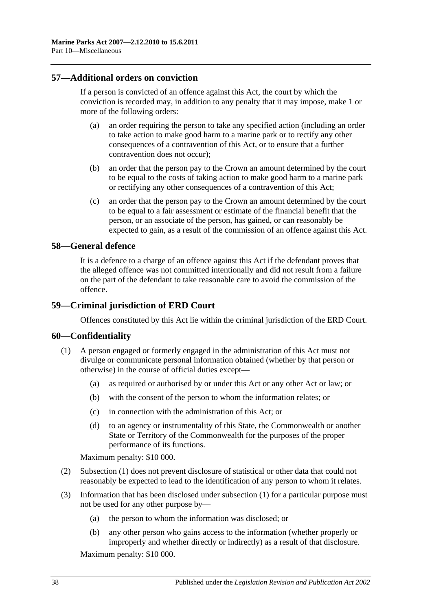### <span id="page-37-0"></span>**57—Additional orders on conviction**

If a person is convicted of an offence against this Act, the court by which the conviction is recorded may, in addition to any penalty that it may impose, make 1 or more of the following orders:

- (a) an order requiring the person to take any specified action (including an order to take action to make good harm to a marine park or to rectify any other consequences of a contravention of this Act, or to ensure that a further contravention does not occur);
- (b) an order that the person pay to the Crown an amount determined by the court to be equal to the costs of taking action to make good harm to a marine park or rectifying any other consequences of a contravention of this Act;
- (c) an order that the person pay to the Crown an amount determined by the court to be equal to a fair assessment or estimate of the financial benefit that the person, or an associate of the person, has gained, or can reasonably be expected to gain, as a result of the commission of an offence against this Act.

## <span id="page-37-1"></span>**58—General defence**

It is a defence to a charge of an offence against this Act if the defendant proves that the alleged offence was not committed intentionally and did not result from a failure on the part of the defendant to take reasonable care to avoid the commission of the offence.

### <span id="page-37-2"></span>**59—Criminal jurisdiction of ERD Court**

Offences constituted by this Act lie within the criminal jurisdiction of the ERD Court.

#### <span id="page-37-4"></span><span id="page-37-3"></span>**60—Confidentiality**

- (1) A person engaged or formerly engaged in the administration of this Act must not divulge or communicate personal information obtained (whether by that person or otherwise) in the course of official duties except—
	- (a) as required or authorised by or under this Act or any other Act or law; or
	- (b) with the consent of the person to whom the information relates; or
	- (c) in connection with the administration of this Act; or
	- (d) to an agency or instrumentality of this State, the Commonwealth or another State or Territory of the Commonwealth for the purposes of the proper performance of its functions.

Maximum penalty: \$10 000.

- (2) [Subsection](#page-37-4) (1) does not prevent disclosure of statistical or other data that could not reasonably be expected to lead to the identification of any person to whom it relates.
- (3) Information that has been disclosed under [subsection](#page-37-4) (1) for a particular purpose must not be used for any other purpose by—
	- (a) the person to whom the information was disclosed; or
	- (b) any other person who gains access to the information (whether properly or improperly and whether directly or indirectly) as a result of that disclosure.

Maximum penalty: \$10 000.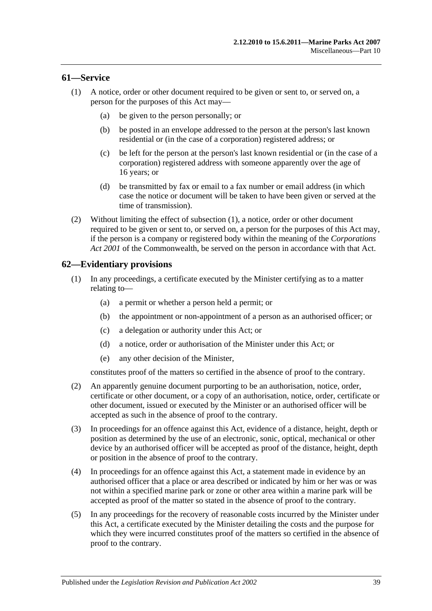### <span id="page-38-2"></span><span id="page-38-0"></span>**61—Service**

- (1) A notice, order or other document required to be given or sent to, or served on, a person for the purposes of this Act may—
	- (a) be given to the person personally; or
	- (b) be posted in an envelope addressed to the person at the person's last known residential or (in the case of a corporation) registered address; or
	- (c) be left for the person at the person's last known residential or (in the case of a corporation) registered address with someone apparently over the age of 16 years; or
	- (d) be transmitted by fax or email to a fax number or email address (in which case the notice or document will be taken to have been given or served at the time of transmission).
- (2) Without limiting the effect of [subsection](#page-38-2) (1), a notice, order or other document required to be given or sent to, or served on, a person for the purposes of this Act may, if the person is a company or registered body within the meaning of the *Corporations Act 2001* of the Commonwealth, be served on the person in accordance with that Act.

## <span id="page-38-1"></span>**62—Evidentiary provisions**

- (1) In any proceedings, a certificate executed by the Minister certifying as to a matter relating to—
	- (a) a permit or whether a person held a permit; or
	- (b) the appointment or non-appointment of a person as an authorised officer; or
	- (c) a delegation or authority under this Act; or
	- (d) a notice, order or authorisation of the Minister under this Act; or
	- (e) any other decision of the Minister,

constitutes proof of the matters so certified in the absence of proof to the contrary.

- (2) An apparently genuine document purporting to be an authorisation, notice, order, certificate or other document, or a copy of an authorisation, notice, order, certificate or other document, issued or executed by the Minister or an authorised officer will be accepted as such in the absence of proof to the contrary.
- (3) In proceedings for an offence against this Act, evidence of a distance, height, depth or position as determined by the use of an electronic, sonic, optical, mechanical or other device by an authorised officer will be accepted as proof of the distance, height, depth or position in the absence of proof to the contrary.
- (4) In proceedings for an offence against this Act, a statement made in evidence by an authorised officer that a place or area described or indicated by him or her was or was not within a specified marine park or zone or other area within a marine park will be accepted as proof of the matter so stated in the absence of proof to the contrary.
- (5) In any proceedings for the recovery of reasonable costs incurred by the Minister under this Act, a certificate executed by the Minister detailing the costs and the purpose for which they were incurred constitutes proof of the matters so certified in the absence of proof to the contrary.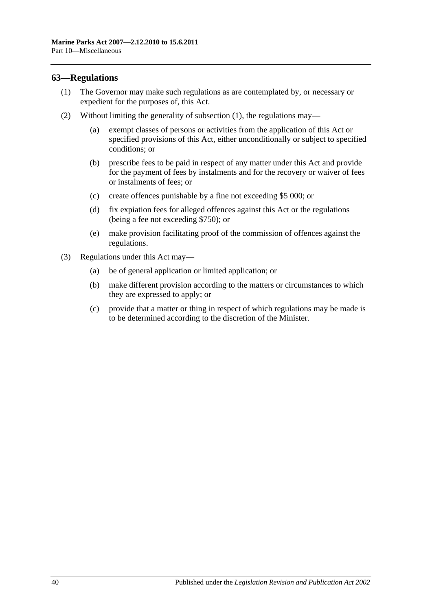## <span id="page-39-1"></span><span id="page-39-0"></span>**63—Regulations**

- (1) The Governor may make such regulations as are contemplated by, or necessary or expedient for the purposes of, this Act.
- (2) Without limiting the generality of [subsection](#page-39-1) (1), the regulations may—
	- (a) exempt classes of persons or activities from the application of this Act or specified provisions of this Act, either unconditionally or subject to specified conditions; or
	- (b) prescribe fees to be paid in respect of any matter under this Act and provide for the payment of fees by instalments and for the recovery or waiver of fees or instalments of fees; or
	- (c) create offences punishable by a fine not exceeding \$5 000; or
	- (d) fix expiation fees for alleged offences against this Act or the regulations (being a fee not exceeding \$750); or
	- (e) make provision facilitating proof of the commission of offences against the regulations.
- (3) Regulations under this Act may—
	- (a) be of general application or limited application; or
	- (b) make different provision according to the matters or circumstances to which they are expressed to apply; or
	- (c) provide that a matter or thing in respect of which regulations may be made is to be determined according to the discretion of the Minister.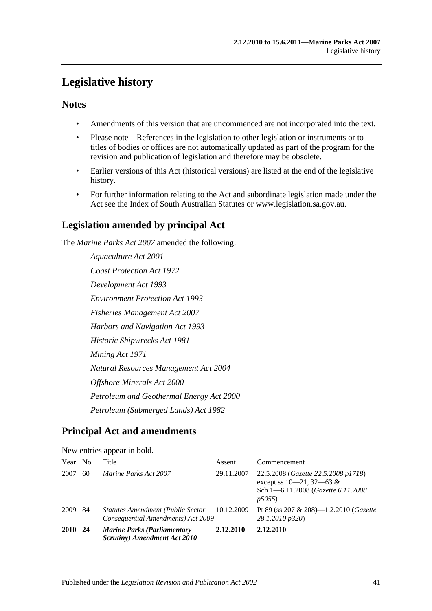## <span id="page-40-0"></span>**Legislative history**

## **Notes**

- Amendments of this version that are uncommenced are not incorporated into the text.
- Please note—References in the legislation to other legislation or instruments or to titles of bodies or offices are not automatically updated as part of the program for the revision and publication of legislation and therefore may be obsolete.
- Earlier versions of this Act (historical versions) are listed at the end of the legislative history.
- For further information relating to the Act and subordinate legislation made under the Act see the Index of South Australian Statutes or www.legislation.sa.gov.au.

## **Legislation amended by principal Act**

The *Marine Parks Act 2007* amended the following:

*Aquaculture Act 2001 Coast Protection Act 1972 Development Act 1993 Environment Protection Act 1993 Fisheries Management Act 2007 Harbors and Navigation Act 1993 Historic Shipwrecks Act 1981 Mining Act 1971 Natural Resources Management Act 2004 Offshore Minerals Act 2000 Petroleum and Geothermal Energy Act 2000 Petroleum (Submerged Lands) Act 1982*

## **Principal Act and amendments**

New entries appear in bold.

| Year        | N <sub>0</sub> | Title                                                                           | Assent     | Commencement                                                                                                         |
|-------------|----------------|---------------------------------------------------------------------------------|------------|----------------------------------------------------------------------------------------------------------------------|
| 2007        | 60             | <i>Marine Parks Act 2007</i>                                                    | 29.11.2007 | 22.5.2008 (Gazette 22.5.2008 p1718)<br>except ss $10-21$ , $32-63$ &<br>Sch 1-6.11.2008 (Gazette 6.11.2008)<br>p5055 |
| 2009        | -84            | <b>Statutes Amendment (Public Sector)</b><br>Consequential Amendments) Act 2009 | 10.12.2009 | Pt 89 (ss 207 & 208)—1.2.2010 (Gazette<br>28.1.2010 p320)                                                            |
| <b>2010</b> | 24             | <b>Marine Parks (Parliamentary</b><br><b>Scrutiny</b> ) Amendment Act 2010      | 2.12.2010  | 2.12.2010                                                                                                            |